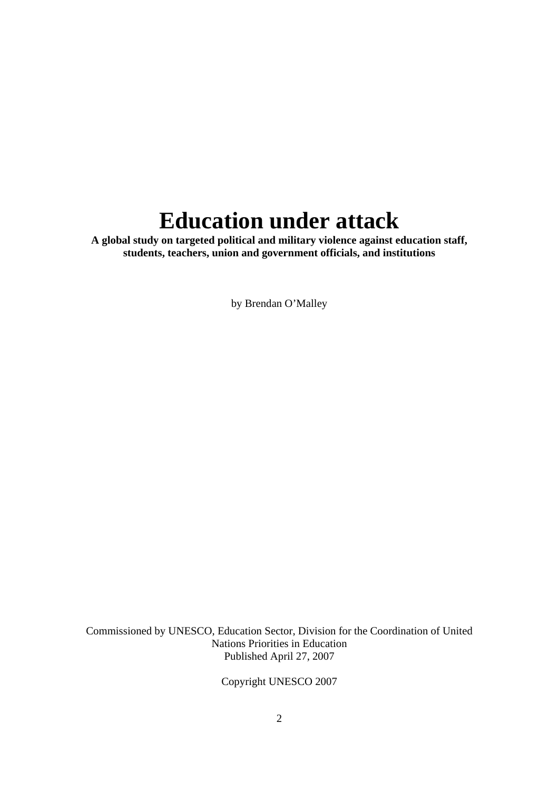# **Education under attack**

**A global study on targeted political and military violence against education staff, students, teachers, union and government officials, and institutions** 

by Brendan O'Malley

Commissioned by UNESCO, Education Sector, Division for the Coordination of United Nations Priorities in Education Published April 27, 2007

Copyright UNESCO 2007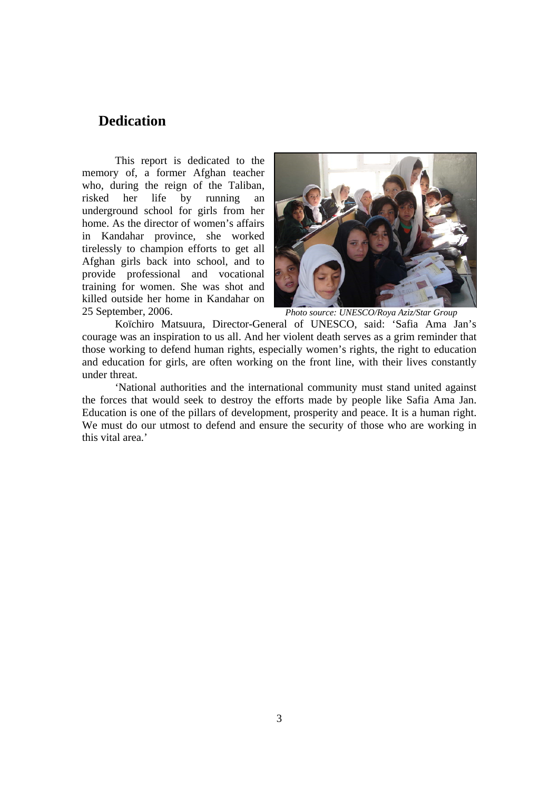# **Dedication**

This report is dedicated to the memory of, a former Afghan teacher who, during the reign of the Taliban, risked her life by running an underground school for girls from her home. As the director of women's affairs in Kandahar province, she worked tirelessly to champion efforts to get all Afghan girls back into school, and to provide professional and vocational training for women. She was shot and killed outside her home in Kandahar on 25 September, 2006.



*Photo source: UNESCO/Roya Aziz/Star Group* 

Koïchiro Matsuura, Director-General of UNESCO, said: 'Safia Ama Jan's courage was an inspiration to us all. And her violent death serves as a grim reminder that those working to defend human rights, especially women's rights, the right to education and education for girls, are often working on the front line, with their lives constantly under threat.

'National authorities and the international community must stand united against the forces that would seek to destroy the efforts made by people like Safia Ama Jan. Education is one of the pillars of development, prosperity and peace. It is a human right. We must do our utmost to defend and ensure the security of those who are working in this vital area.'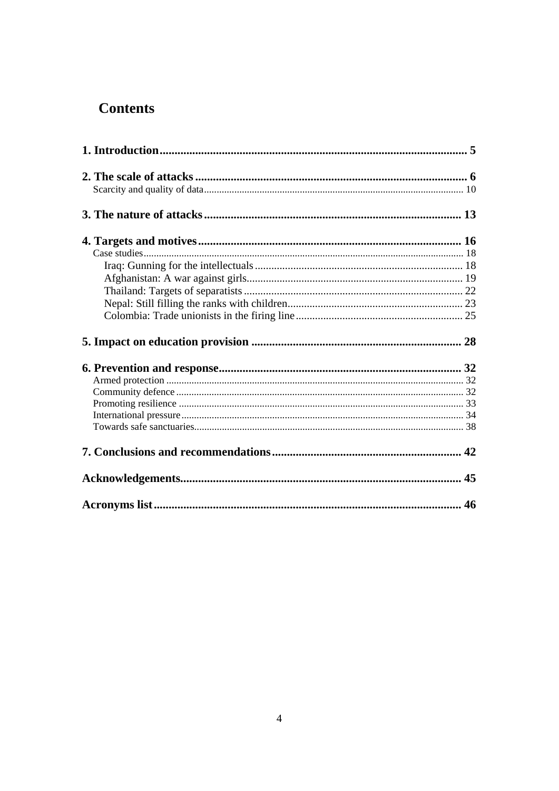# **Contents**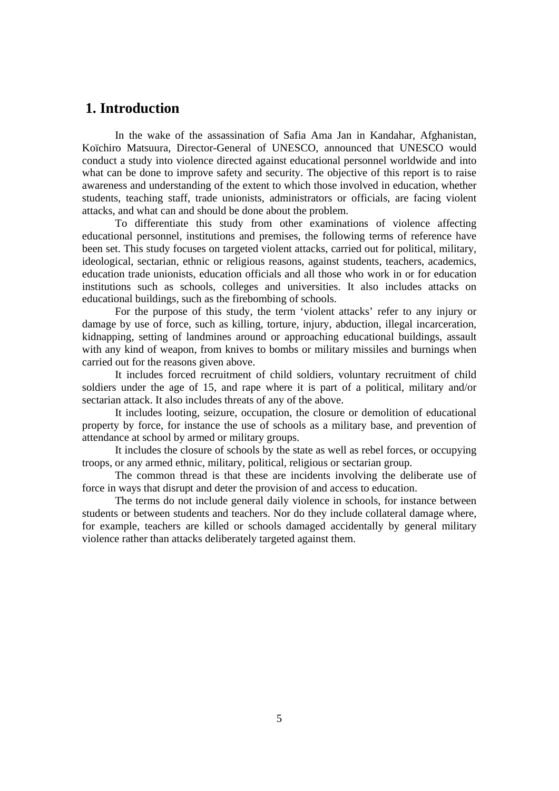# **1. Introduction**

In the wake of the assassination of Safia Ama Jan in Kandahar, Afghanistan, Koïchiro Matsuura, Director-General of UNESCO, announced that UNESCO would conduct a study into violence directed against educational personnel worldwide and into what can be done to improve safety and security. The objective of this report is to raise awareness and understanding of the extent to which those involved in education, whether students, teaching staff, trade unionists, administrators or officials, are facing violent attacks, and what can and should be done about the problem.

To differentiate this study from other examinations of violence affecting educational personnel, institutions and premises, the following terms of reference have been set. This study focuses on targeted violent attacks, carried out for political, military, ideological, sectarian, ethnic or religious reasons, against students, teachers, academics, education trade unionists, education officials and all those who work in or for education institutions such as schools, colleges and universities. It also includes attacks on educational buildings, such as the firebombing of schools.

For the purpose of this study, the term 'violent attacks' refer to any injury or damage by use of force, such as killing, torture, injury, abduction, illegal incarceration, kidnapping, setting of landmines around or approaching educational buildings, assault with any kind of weapon, from knives to bombs or military missiles and burnings when carried out for the reasons given above.

It includes forced recruitment of child soldiers, voluntary recruitment of child soldiers under the age of 15, and rape where it is part of a political, military and/or sectarian attack. It also includes threats of any of the above.

It includes looting, seizure, occupation, the closure or demolition of educational property by force, for instance the use of schools as a military base, and prevention of attendance at school by armed or military groups.

It includes the closure of schools by the state as well as rebel forces, or occupying troops, or any armed ethnic, military, political, religious or sectarian group.

The common thread is that these are incidents involving the deliberate use of force in ways that disrupt and deter the provision of and access to education.

The terms do not include general daily violence in schools, for instance between students or between students and teachers. Nor do they include collateral damage where, for example, teachers are killed or schools damaged accidentally by general military violence rather than attacks deliberately targeted against them.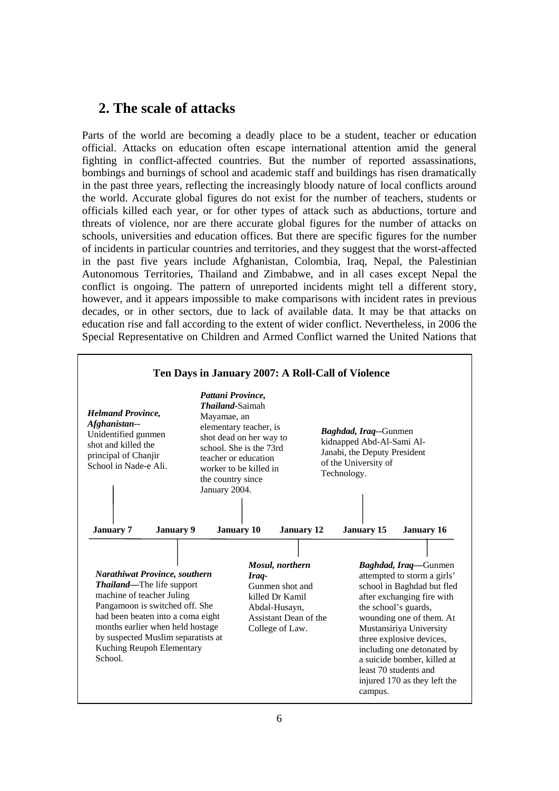# **2. The scale of attacks**

Parts of the world are becoming a deadly place to be a student, teacher or education official. Attacks on education often escape international attention amid the general fighting in conflict-affected countries. But the number of reported assassinations, bombings and burnings of school and academic staff and buildings has risen dramatically in the past three years, reflecting the increasingly bloody nature of local conflicts around the world. Accurate global figures do not exist for the number of teachers, students or officials killed each year, or for other types of attack such as abductions, torture and threats of violence, nor are there accurate global figures for the number of attacks on schools, universities and education offices. But there are specific figures for the number of incidents in particular countries and territories, and they suggest that the worst-affected in the past five years include Afghanistan, Colombia, Iraq, Nepal, the Palestinian Autonomous Territories, Thailand and Zimbabwe, and in all cases except Nepal the conflict is ongoing. The pattern of unreported incidents might tell a different story, however, and it appears impossible to make comparisons with incident rates in previous decades, or in other sectors, due to lack of available data. It may be that attacks on education rise and fall according to the extent of wider conflict. Nevertheless, in 2006 the Special Representative on Children and Armed Conflict warned the United Nations that

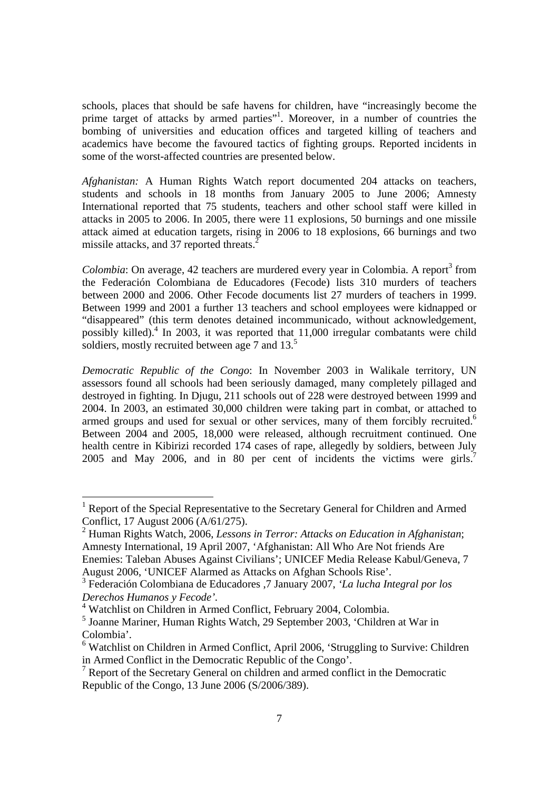schools, places that should be safe havens for children, have "increasingly become the prime target of attacks by armed parties"<sup>1</sup>. Moreover, in a number of countries the bombing of universities and education offices and targeted killing of teachers and academics have become the favoured tactics of fighting groups. Reported incidents in some of the worst-affected countries are presented below.

*Afghanistan:* A Human Rights Watch report documented 204 attacks on teachers, students and schools in 18 months from January 2005 to June 2006; Amnesty International reported that 75 students, teachers and other school staff were killed in attacks in 2005 to 2006. In 2005, there were 11 explosions, 50 burnings and one missile attack aimed at education targets, rising in 2006 to 18 explosions, 66 burnings and two missile attacks, and 37 reported threats.<sup>2</sup>

 $Colombia$ : On average, 42 teachers are murdered every year in Colombia. A report<sup>3</sup> from the Federación Colombiana de Educadores (Fecode) lists 310 murders of teachers between 2000 and 2006. Other Fecode documents list 27 murders of teachers in 1999. Between 1999 and 2001 a further 13 teachers and school employees were kidnapped or "disappeared" (this term denotes detained incommunicado, without acknowledgement, possibly killed).<sup>4</sup> In 2003, it was reported that 11,000 irregular combatants were child soldiers, mostly recruited between age 7 and  $13<sup>5</sup>$ 

*Democratic Republic of the Congo*: In November 2003 in Walikale territory, UN assessors found all schools had been seriously damaged, many completely pillaged and destroyed in fighting. In Djugu, 211 schools out of 228 were destroyed between 1999 and 2004. In 2003, an estimated 30,000 children were taking part in combat, or attached to armed groups and used for sexual or other services, many of them forcibly recruited.<sup>6</sup> Between 2004 and 2005, 18,000 were released, although recruitment continued. One health centre in Kibirizi recorded 174 cases of rape, allegedly by soldiers, between July 2005 and May 2006, and in 80 per cent of incidents the victims were girls.<sup>7</sup>

l

<sup>&</sup>lt;sup>1</sup> Report of the Special Representative to the Secretary General for Children and Armed Conflict, 17 August 2006 (A/61/275).

<sup>2</sup> Human Rights Watch, 2006, *Lessons in Terror: Attacks on Education in Afghanistan*; Amnesty International, 19 April 2007, 'Afghanistan: All Who Are Not friends Are Enemies: Taleban Abuses Against Civilians'; UNICEF Media Release Kabul/Geneva, 7 August 2006, 'UNICEF Alarmed as Attacks on Afghan Schools Rise'.

<sup>3</sup> Federación Colombiana de Educadores ,7 January 2007, *'La lucha Integral por los Derechos Humanos y Fecode'.* 

<sup>4</sup> Watchlist on Children in Armed Conflict, February 2004, Colombia.

<sup>5</sup> Joanne Mariner, Human Rights Watch, 29 September 2003, 'Children at War in Colombia'.

<sup>&</sup>lt;sup>6</sup> Watchlist on Children in Armed Conflict, April 2006, 'Struggling to Survive: Children in Armed Conflict in the Democratic Republic of the Congo'.

<sup>&</sup>lt;sup>7</sup> Report of the Secretary General on children and armed conflict in the Democratic Republic of the Congo, 13 June 2006 (S/2006/389).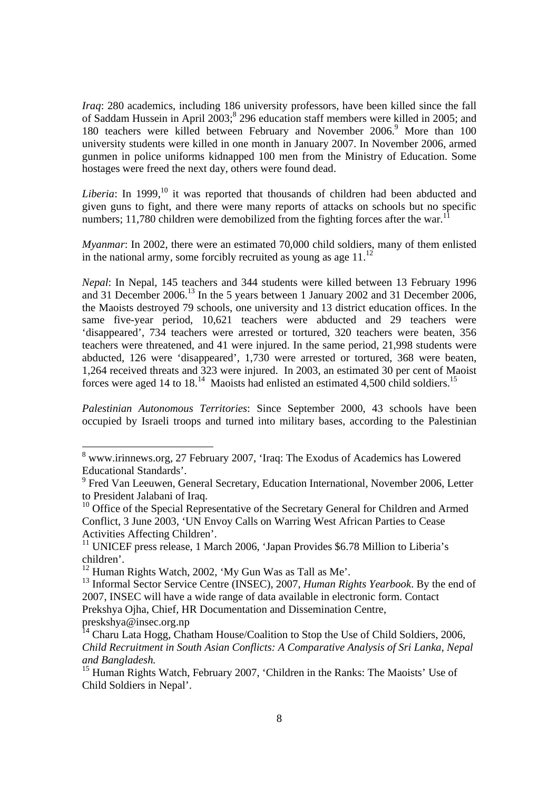*Iraq*: 280 academics, including 186 university professors, have been killed since the fall of Saddam Hussein in April  $2003$ ;  $296$  education staff members were killed in 2005; and 180 teachers were killed between February and November 2006.<sup>9</sup> More than 100 university students were killed in one month in January 2007. In November 2006, armed gunmen in police uniforms kidnapped 100 men from the Ministry of Education. Some hostages were freed the next day, others were found dead.

*Liberia*: In 1999,<sup>10</sup> it was reported that thousands of children had been abducted and given guns to fight, and there were many reports of attacks on schools but no specific numbers; 11,780 children were demobilized from the fighting forces after the war.<sup>1</sup>

*Myanmar*: In 2002, there were an estimated 70,000 child soldiers, many of them enlisted in the national army, some forcibly recruited as young as age  $11$ .<sup>12</sup>

*Nepal*: In Nepal, 145 teachers and 344 students were killed between 13 February 1996 and 31 December 2006.<sup>13</sup> In the 5 years between 1 January 2002 and 31 December 2006, the Maoists destroyed 79 schools, one university and 13 district education offices. In the same five-year period, 10,621 teachers were abducted and 29 teachers were 'disappeared', 734 teachers were arrested or tortured, 320 teachers were beaten, 356 teachers were threatened, and 41 were injured. In the same period, 21,998 students were abducted, 126 were 'disappeared', 1,730 were arrested or tortured, 368 were beaten, 1,264 received threats and 323 were injured. In 2003, an estimated 30 per cent of Maoist forces were aged 14 to 18.<sup>14</sup> Maoists had enlisted an estimated 4,500 child soldiers.<sup>15</sup>

*Palestinian Autonomous Territories*: Since September 2000, 43 schools have been occupied by Israeli troops and turned into military bases, according to the Palestinian

<sup>&</sup>lt;sup>8</sup> www.irinnews.org, 27 February 2007, 'Iraq: The Exodus of Academics has Lowered Educational Standards'.

<sup>&</sup>lt;sup>9</sup> Fred Van Leeuwen, General Secretary, Education International, November 2006, Letter to President Jalabani of Iraq.

 $10$  Office of the Special Representative of the Secretary General for Children and Armed Conflict, 3 June 2003, 'UN Envoy Calls on Warring West African Parties to Cease Activities Affecting Children'.

<sup>&</sup>lt;sup>11</sup> UNICEF press release, 1 March 2006, 'Japan Provides \$6.78 Million to Liberia's children'.

 $12$  Human Rights Watch, 2002, 'My Gun Was as Tall as Me'.

<sup>13</sup> Informal Sector Service Centre (INSEC), 2007, *Human Rights Yearbook*. By the end of 2007, INSEC will have a wide range of data available in electronic form. Contact Prekshya Ojha, Chief, HR Documentation and Dissemination Centre, preskshya@insec.org.np

<sup>&</sup>lt;sup>14</sup> Charu Lata Hogg, Chatham House/Coalition to Stop the Use of Child Soldiers, 2006, *Child Recruitment in South Asian Conflicts: A Comparative Analysis of Sri Lanka, Nepal and Bangladesh.* 

<sup>&</sup>lt;sup>15</sup> Human Rights Watch, February 2007, 'Children in the Ranks: The Maoists' Use of Child Soldiers in Nepal'.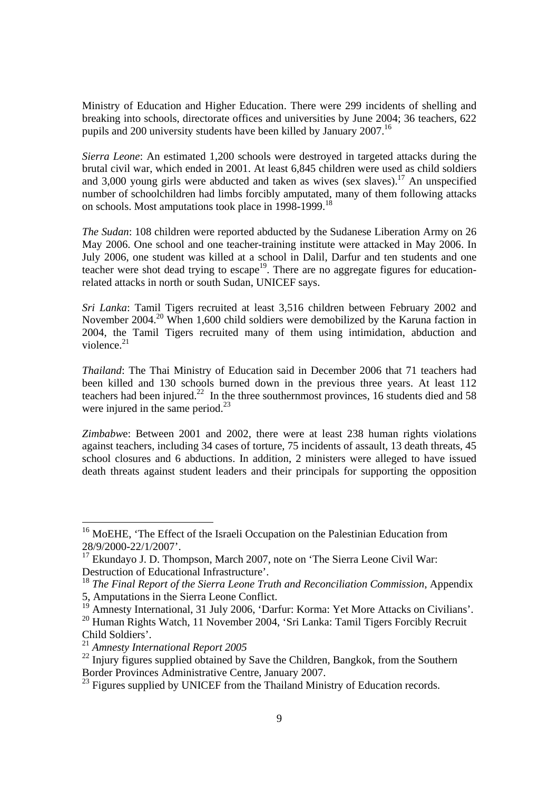Ministry of Education and Higher Education. There were 299 incidents of shelling and breaking into schools, directorate offices and universities by June 2004; 36 teachers, 622 pupils and 200 university students have been killed by January 2007.<sup>16</sup>

*Sierra Leone*: An estimated 1,200 schools were destroyed in targeted attacks during the brutal civil war, which ended in 2001. At least 6,845 children were used as child soldiers and 3,000 young girls were abducted and taken as wives (sex slaves).<sup>17</sup> An unspecified number of schoolchildren had limbs forcibly amputated, many of them following attacks on schools. Most amputations took place in 1998-1999.<sup>18</sup>

*The Sudan*: 108 children were reported abducted by the Sudanese Liberation Army on 26 May 2006. One school and one teacher-training institute were attacked in May 2006. In July 2006, one student was killed at a school in Dalil, Darfur and ten students and one teacher were shot dead trying to escape<sup>19</sup>. There are no aggregate figures for educationrelated attacks in north or south Sudan, UNICEF says.

*Sri Lanka*: Tamil Tigers recruited at least 3,516 children between February 2002 and November 2004.<sup>20</sup> When 1,600 child soldiers were demobilized by the Karuna faction in 2004, the Tamil Tigers recruited many of them using intimidation, abduction and violence. $^{21}$ 

*Thailand*: The Thai Ministry of Education said in December 2006 that 71 teachers had been killed and 130 schools burned down in the previous three years. At least 112 teachers had been injured.<sup>22</sup> In the three southernmost provinces, 16 students died and 58 were injured in the same period. $^{23}$ 

*Zimbabw*e: Between 2001 and 2002, there were at least 238 human rights violations against teachers, including 34 cases of torture, 75 incidents of assault, 13 death threats, 45 school closures and 6 abductions. In addition, 2 ministers were alleged to have issued death threats against student leaders and their principals for supporting the opposition

<sup>19</sup> Amnesty International, 31 July 2006, 'Darfur: Korma: Yet More Attacks on Civilians'.

<sup>&</sup>lt;sup>16</sup> MoEHE, 'The Effect of the Israeli Occupation on the Palestinian Education from 28/9/2000-22/1/2007'.

<sup>&</sup>lt;sup>17</sup> Ekundayo J. D. Thompson, March 2007, note on 'The Sierra Leone Civil War: Destruction of Educational Infrastructure'.

<sup>18</sup> *The Final Report of the Sierra Leone Truth and Reconciliation Commission*, Appendix 5, Amputations in the Sierra Leone Conflict.

<sup>20</sup> Human Rights Watch, 11 November 2004, 'Sri Lanka: Tamil Tigers Forcibly Recruit Child Soldiers'.

<sup>21</sup> *Amnesty International Report 2005*

 $^{22}$  Injury figures supplied obtained by Save the Children, Bangkok, from the Southern Border Provinces Administrative Centre, January 2007.

<sup>&</sup>lt;sup>23</sup> Figures supplied by UNICEF from the Thailand Ministry of Education records.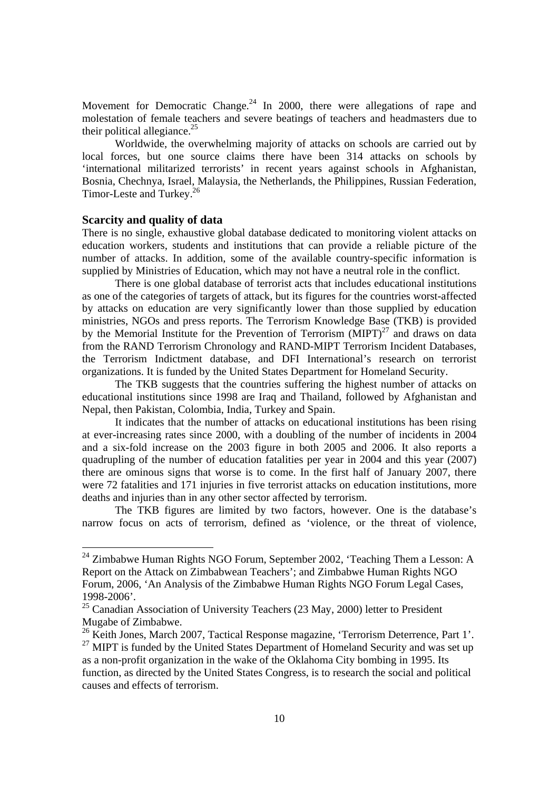Movement for Democratic Change.<sup>24</sup> In 2000, there were allegations of rape and molestation of female teachers and severe beatings of teachers and headmasters due to their political allegiance.<sup>25</sup>

Worldwide, the overwhelming majority of attacks on schools are carried out by local forces, but one source claims there have been 314 attacks on schools by 'international militarized terrorists' in recent years against schools in Afghanistan, Bosnia, Chechnya, Israel, Malaysia, the Netherlands, the Philippines, Russian Federation, Timor-Leste and Turkey.<sup>26</sup>

#### **Scarcity and quality of data**

There is no single, exhaustive global database dedicated to monitoring violent attacks on education workers, students and institutions that can provide a reliable picture of the number of attacks. In addition, some of the available country-specific information is supplied by Ministries of Education, which may not have a neutral role in the conflict.

There is one global database of terrorist acts that includes educational institutions as one of the categories of targets of attack, but its figures for the countries worst-affected by attacks on education are very significantly lower than those supplied by education ministries, NGOs and press reports. The Terrorism Knowledge Base (TKB) is provided by the Memorial Institute for the Prevention of Terrorism  $(MIPT)^{27}$  and draws on data from the RAND Terrorism Chronology and RAND-MIPT Terrorism Incident Databases, the Terrorism Indictment database, and DFI International's research on terrorist organizations. It is funded by the United States Department for Homeland Security.

The TKB suggests that the countries suffering the highest number of attacks on educational institutions since 1998 are Iraq and Thailand, followed by Afghanistan and Nepal, then Pakistan, Colombia, India, Turkey and Spain.

It indicates that the number of attacks on educational institutions has been rising at ever-increasing rates since 2000, with a doubling of the number of incidents in 2004 and a six-fold increase on the 2003 figure in both 2005 and 2006. It also reports a quadrupling of the number of education fatalities per year in 2004 and this year (2007) there are ominous signs that worse is to come. In the first half of January 2007, there were 72 fatalities and 171 injuries in five terrorist attacks on education institutions, more deaths and injuries than in any other sector affected by terrorism.

The TKB figures are limited by two factors, however. One is the database's narrow focus on acts of terrorism, defined as 'violence, or the threat of violence,

 $^{24}$  Zimbabwe Human Rights NGO Forum, September 2002, 'Teaching Them a Lesson: A Report on the Attack on Zimbabwean Teachers'; and Zimbabwe Human Rights NGO Forum, 2006, 'An Analysis of the Zimbabwe Human Rights NGO Forum Legal Cases, 1998-2006'.

 $25$  Canadian Association of University Teachers (23 May, 2000) letter to President Mugabe of Zimbabwe.

 $^{26}$  Keith Jones, March 2007, Tactical Response magazine, 'Terrorism Deterrence, Part 1'.

<sup>&</sup>lt;sup>27</sup> MIPT is funded by the United States Department of Homeland Security and was set up as a non-profit organization in the wake of the Oklahoma City bombing in 1995. Its function, as directed by the United States Congress, is to research the social and political causes and effects of terrorism.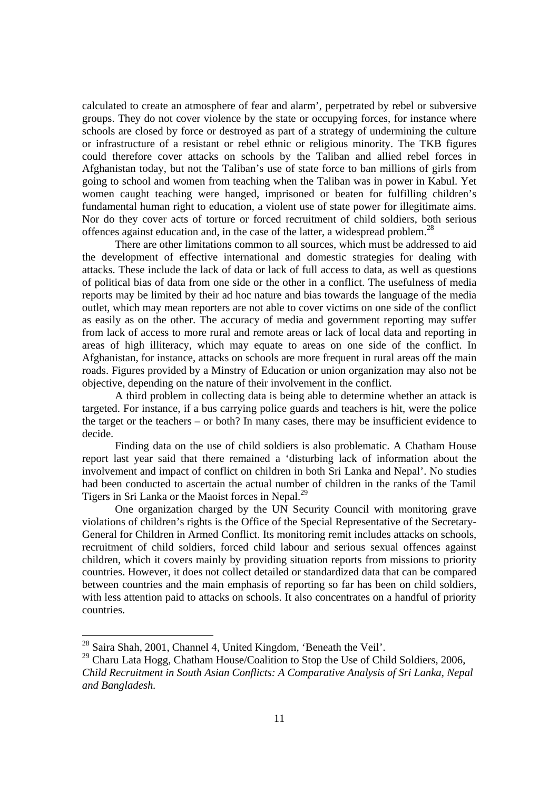calculated to create an atmosphere of fear and alarm', perpetrated by rebel or subversive groups. They do not cover violence by the state or occupying forces, for instance where schools are closed by force or destroyed as part of a strategy of undermining the culture or infrastructure of a resistant or rebel ethnic or religious minority. The TKB figures could therefore cover attacks on schools by the Taliban and allied rebel forces in Afghanistan today, but not the Taliban's use of state force to ban millions of girls from going to school and women from teaching when the Taliban was in power in Kabul. Yet women caught teaching were hanged, imprisoned or beaten for fulfilling children's fundamental human right to education, a violent use of state power for illegitimate aims. Nor do they cover acts of torture or forced recruitment of child soldiers, both serious offences against education and, in the case of the latter, a widespread problem.<sup>28</sup>

There are other limitations common to all sources, which must be addressed to aid the development of effective international and domestic strategies for dealing with attacks. These include the lack of data or lack of full access to data, as well as questions of political bias of data from one side or the other in a conflict. The usefulness of media reports may be limited by their ad hoc nature and bias towards the language of the media outlet, which may mean reporters are not able to cover victims on one side of the conflict as easily as on the other. The accuracy of media and government reporting may suffer from lack of access to more rural and remote areas or lack of local data and reporting in areas of high illiteracy, which may equate to areas on one side of the conflict. In Afghanistan, for instance, attacks on schools are more frequent in rural areas off the main roads. Figures provided by a Minstry of Education or union organization may also not be objective, depending on the nature of their involvement in the conflict.

A third problem in collecting data is being able to determine whether an attack is targeted. For instance, if a bus carrying police guards and teachers is hit, were the police the target or the teachers – or both? In many cases, there may be insufficient evidence to decide.

Finding data on the use of child soldiers is also problematic. A Chatham House report last year said that there remained a 'disturbing lack of information about the involvement and impact of conflict on children in both Sri Lanka and Nepal'. No studies had been conducted to ascertain the actual number of children in the ranks of the Tamil Tigers in Sri Lanka or the Maoist forces in Nepal.<sup>29</sup>

One organization charged by the UN Security Council with monitoring grave violations of children's rights is the Office of the Special Representative of the Secretary-General for Children in Armed Conflict. Its monitoring remit includes attacks on schools, recruitment of child soldiers, forced child labour and serious sexual offences against children, which it covers mainly by providing situation reports from missions to priority countries. However, it does not collect detailed or standardized data that can be compared between countries and the main emphasis of reporting so far has been on child soldiers, with less attention paid to attacks on schools. It also concentrates on a handful of priority countries.

<sup>&</sup>lt;sup>28</sup> Saira Shah, 2001, Channel 4, United Kingdom, 'Beneath the Veil'.

<sup>&</sup>lt;sup>29</sup> Charu Lata Hogg, Chatham House/Coalition to Stop the Use of Child Soldiers, 2006,

*Child Recruitment in South Asian Conflicts: A Comparative Analysis of Sri Lanka, Nepal and Bangladesh.*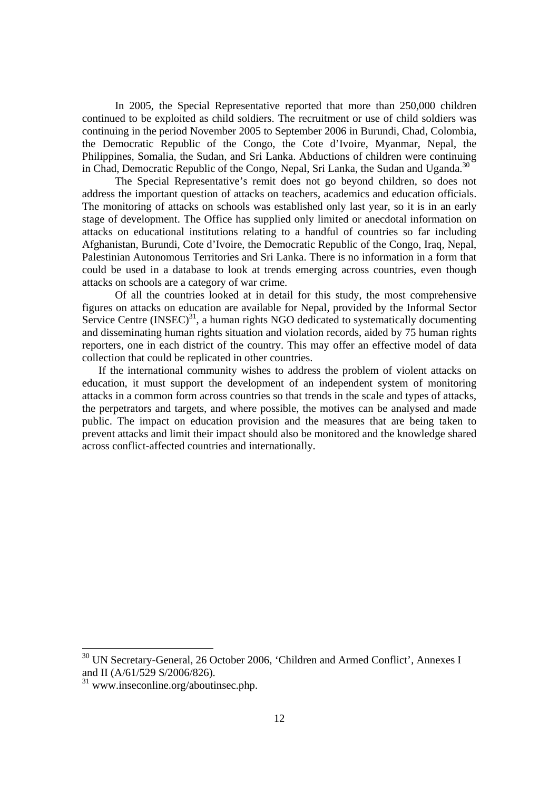In 2005, the Special Representative reported that more than 250,000 children continued to be exploited as child soldiers. The recruitment or use of child soldiers was continuing in the period November 2005 to September 2006 in Burundi, Chad, Colombia, the Democratic Republic of the Congo, the Cote d'Ivoire, Myanmar, Nepal, the Philippines, Somalia, the Sudan, and Sri Lanka. Abductions of children were continuing in Chad, Democratic Republic of the Congo, Nepal, Sri Lanka, the Sudan and Uganda.<sup>30</sup>

The Special Representative's remit does not go beyond children, so does not address the important question of attacks on teachers, academics and education officials. The monitoring of attacks on schools was established only last year, so it is in an early stage of development. The Office has supplied only limited or anecdotal information on attacks on educational institutions relating to a handful of countries so far including Afghanistan, Burundi, Cote d'Ivoire, the Democratic Republic of the Congo, Iraq, Nepal, Palestinian Autonomous Territories and Sri Lanka. There is no information in a form that could be used in a database to look at trends emerging across countries, even though attacks on schools are a category of war crime.

Of all the countries looked at in detail for this study, the most comprehensive figures on attacks on education are available for Nepal, provided by the Informal Sector Service Centre  $(INSEC)^{31}$ , a human rights NGO dedicated to systematically documenting and disseminating human rights situation and violation records, aided by 75 human rights reporters, one in each district of the country. This may offer an effective model of data collection that could be replicated in other countries.

If the international community wishes to address the problem of violent attacks on education, it must support the development of an independent system of monitoring attacks in a common form across countries so that trends in the scale and types of attacks, the perpetrators and targets, and where possible, the motives can be analysed and made public. The impact on education provision and the measures that are being taken to prevent attacks and limit their impact should also be monitored and the knowledge shared across conflict-affected countries and internationally.

<sup>&</sup>lt;sup>30</sup> UN Secretary-General, 26 October 2006, 'Children and Armed Conflict', Annexes I and II (A/61/529 S/2006/826).

 $31$  www.inseconline.org/aboutinsec.php.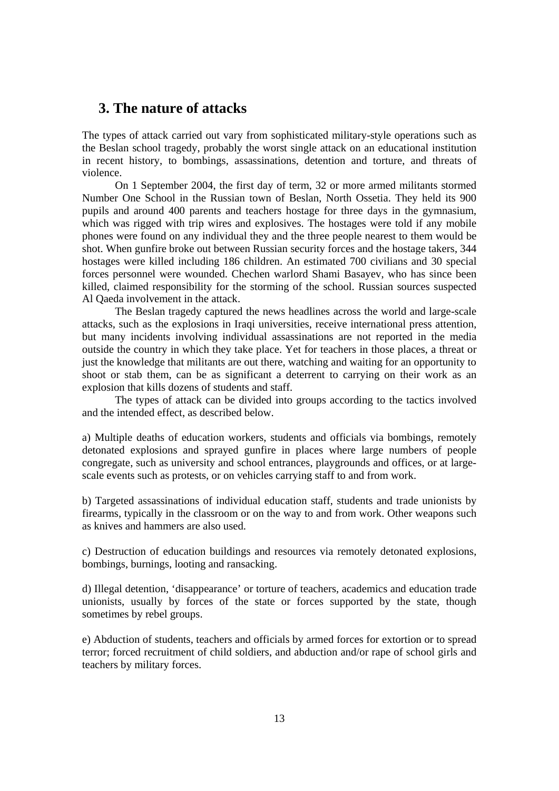# **3. The nature of attacks**

The types of attack carried out vary from sophisticated military-style operations such as the Beslan school tragedy, probably the worst single attack on an educational institution in recent history, to bombings, assassinations, detention and torture, and threats of violence.

On 1 September 2004, the first day of term, 32 or more armed militants stormed Number One School in the Russian town of Beslan, North Ossetia. They held its 900 pupils and around 400 parents and teachers hostage for three days in the gymnasium, which was rigged with trip wires and explosives. The hostages were told if any mobile phones were found on any individual they and the three people nearest to them would be shot. When gunfire broke out between Russian security forces and the hostage takers, 344 hostages were killed including 186 children. An estimated 700 civilians and 30 special forces personnel were wounded. Chechen warlord Shami Basayev, who has since been killed, claimed responsibility for the storming of the school. Russian sources suspected Al Qaeda involvement in the attack.

The Beslan tragedy captured the news headlines across the world and large-scale attacks, such as the explosions in Iraqi universities, receive international press attention, but many incidents involving individual assassinations are not reported in the media outside the country in which they take place. Yet for teachers in those places, a threat or just the knowledge that militants are out there, watching and waiting for an opportunity to shoot or stab them, can be as significant a deterrent to carrying on their work as an explosion that kills dozens of students and staff.

The types of attack can be divided into groups according to the tactics involved and the intended effect, as described below.

a) Multiple deaths of education workers, students and officials via bombings, remotely detonated explosions and sprayed gunfire in places where large numbers of people congregate, such as university and school entrances, playgrounds and offices, or at largescale events such as protests, or on vehicles carrying staff to and from work.

b) Targeted assassinations of individual education staff, students and trade unionists by firearms, typically in the classroom or on the way to and from work. Other weapons such as knives and hammers are also used.

c) Destruction of education buildings and resources via remotely detonated explosions, bombings, burnings, looting and ransacking.

d) Illegal detention, 'disappearance' or torture of teachers, academics and education trade unionists, usually by forces of the state or forces supported by the state, though sometimes by rebel groups.

e) Abduction of students, teachers and officials by armed forces for extortion or to spread terror; forced recruitment of child soldiers, and abduction and/or rape of school girls and teachers by military forces.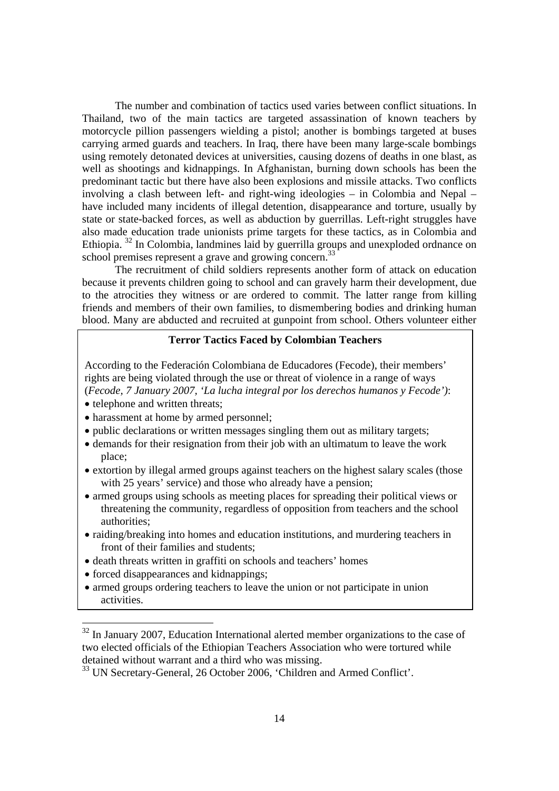The number and combination of tactics used varies between conflict situations. In Thailand, two of the main tactics are targeted assassination of known teachers by motorcycle pillion passengers wielding a pistol; another is bombings targeted at buses carrying armed guards and teachers. In Iraq, there have been many large-scale bombings using remotely detonated devices at universities, causing dozens of deaths in one blast, as well as shootings and kidnappings. In Afghanistan, burning down schools has been the predominant tactic but there have also been explosions and missile attacks. Two conflicts involving a clash between left- and right-wing ideologies – in Colombia and Nepal – have included many incidents of illegal detention, disappearance and torture, usually by state or state-backed forces, as well as abduction by guerrillas. Left-right struggles have also made education trade unionists prime targets for these tactics, as in Colombia and Ethiopia. 32 In Colombia, landmines laid by guerrilla groups and unexploded ordnance on school premises represent a grave and growing concern.<sup>33</sup>

The recruitment of child soldiers represents another form of attack on education because it prevents children going to school and can gravely harm their development, due to the atrocities they witness or are ordered to commit. The latter range from killing friends and members of their own families, to dismembering bodies and drinking human blood. Many are abducted and recruited at gunpoint from school. Others volunteer either

#### **Terror Tactics Faced by Colombian Teachers**

According to the Federación Colombiana de Educadores (Fecode), their members' rights are being violated through the use or threat of violence in a range of ways (*Fecode, 7 January 2007, 'La lucha integral por los derechos humanos y Fecode')*:

- telephone and written threats:
- harassment at home by armed personnel;
- public declarations or written messages singling them out as military targets;
- demands for their resignation from their job with an ultimatum to leave the work place;
- extortion by illegal armed groups against teachers on the highest salary scales (those with 25 years' service) and those who already have a pension;
- armed groups using schools as meeting places for spreading their political views or threatening the community, regardless of opposition from teachers and the school authorities;
- raiding/breaking into homes and education institutions, and murdering teachers in front of their families and students;
- death threats written in graffiti on schools and teachers' homes
- forced disappearances and kidnappings;

• armed groups ordering teachers to leave the union or not participate in union activities.

 $32$  In January 2007, Education International alerted member organizations to the case of two elected officials of the Ethiopian Teachers Association who were tortured while detained without warrant and a third who was missing.

<sup>&</sup>lt;sup>33</sup> UN Secretary-General, 26 October 2006, 'Children and Armed Conflict'.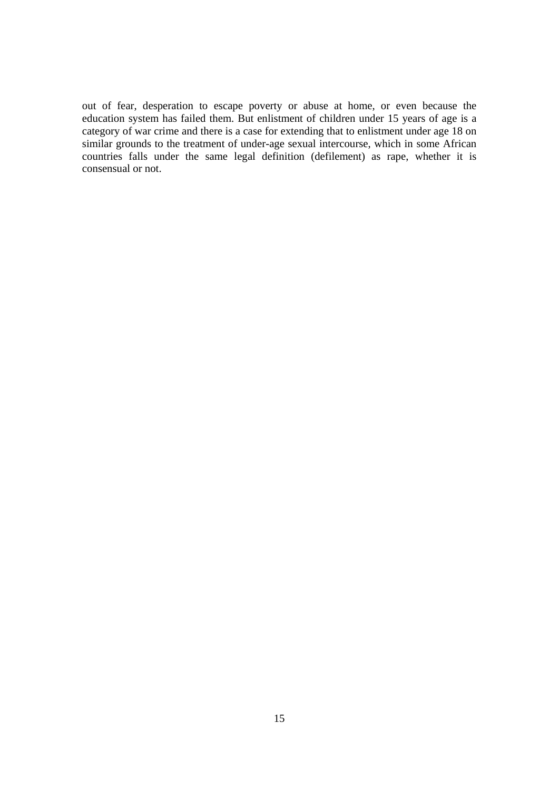out of fear, desperation to escape poverty or abuse at home, or even because the education system has failed them. But enlistment of children under 15 years of age is a category of war crime and there is a case for extending that to enlistment under age 18 on similar grounds to the treatment of under-age sexual intercourse, which in some African countries falls under the same legal definition (defilement) as rape, whether it is consensual or not.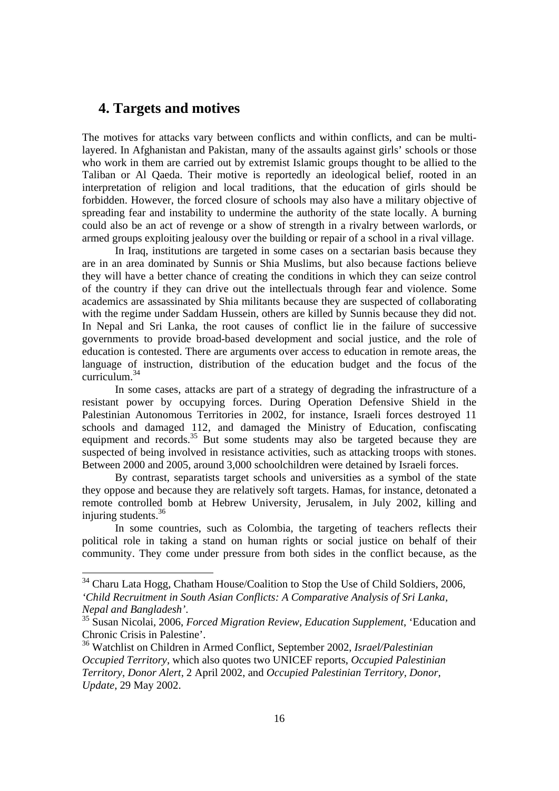# **4. Targets and motives**

The motives for attacks vary between conflicts and within conflicts, and can be multilayered. In Afghanistan and Pakistan, many of the assaults against girls' schools or those who work in them are carried out by extremist Islamic groups thought to be allied to the Taliban or Al Qaeda. Their motive is reportedly an ideological belief, rooted in an interpretation of religion and local traditions, that the education of girls should be forbidden. However, the forced closure of schools may also have a military objective of spreading fear and instability to undermine the authority of the state locally. A burning could also be an act of revenge or a show of strength in a rivalry between warlords, or armed groups exploiting jealousy over the building or repair of a school in a rival village.

In Iraq, institutions are targeted in some cases on a sectarian basis because they are in an area dominated by Sunnis or Shia Muslims, but also because factions believe they will have a better chance of creating the conditions in which they can seize control of the country if they can drive out the intellectuals through fear and violence. Some academics are assassinated by Shia militants because they are suspected of collaborating with the regime under Saddam Hussein, others are killed by Sunnis because they did not. In Nepal and Sri Lanka, the root causes of conflict lie in the failure of successive governments to provide broad-based development and social justice, and the role of education is contested. There are arguments over access to education in remote areas, the language of instruction, distribution of the education budget and the focus of the curriculum.<sup>34</sup>

In some cases, attacks are part of a strategy of degrading the infrastructure of a resistant power by occupying forces. During Operation Defensive Shield in the Palestinian Autonomous Territories in 2002, for instance, Israeli forces destroyed 11 schools and damaged 112, and damaged the Ministry of Education, confiscating equipment and records.<sup>35</sup> But some students may also be targeted because they are suspected of being involved in resistance activities, such as attacking troops with stones. Between 2000 and 2005, around 3,000 schoolchildren were detained by Israeli forces.

By contrast, separatists target schools and universities as a symbol of the state they oppose and because they are relatively soft targets. Hamas, for instance, detonated a remote controlled bomb at Hebrew University, Jerusalem, in July 2002, killing and injuring students. $36$ 

In some countries, such as Colombia, the targeting of teachers reflects their political role in taking a stand on human rights or social justice on behalf of their community. They come under pressure from both sides in the conflict because, as the

<sup>&</sup>lt;sup>34</sup> Charu Lata Hogg, Chatham House/Coalition to Stop the Use of Child Soldiers, 2006, *'Child Recruitment in South Asian Conflicts: A Comparative Analysis of Sri Lanka, Nepal and Bangladesh'*. 35 Susan Nicolai, 2006, *Forced Migration Review, Education Supplement*, 'Education and

Chronic Crisis in Palestine'.

<sup>36</sup> Watchlist on Children in Armed Conflict, September 2002, *Israel/Palestinian Occupied Territory*, which also quotes two UNICEF reports, *Occupied Palestinian Territory, Donor Alert*, 2 April 2002, and *Occupied Palestinian Territory, Donor, Update*, 29 May 2002.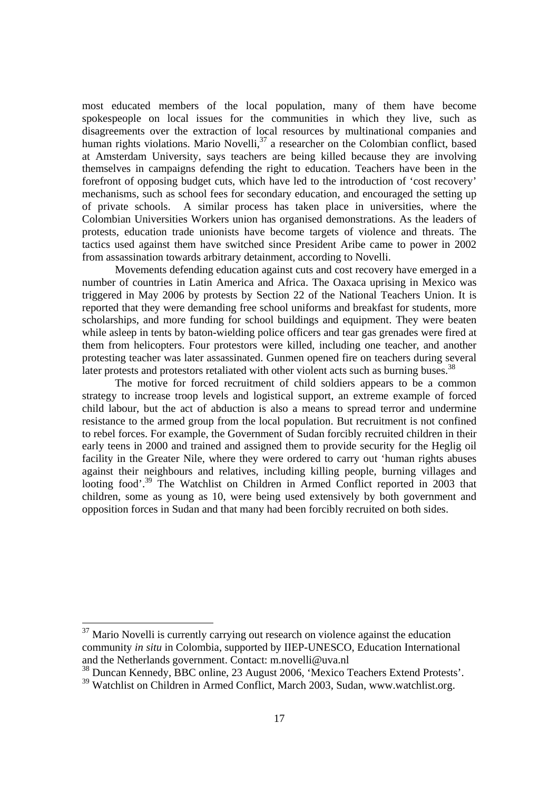most educated members of the local population, many of them have become spokespeople on local issues for the communities in which they live, such as disagreements over the extraction of local resources by multinational companies and human rights violations. Mario Novelli,<sup>37</sup> a researcher on the Colombian conflict, based at Amsterdam University, says teachers are being killed because they are involving themselves in campaigns defending the right to education. Teachers have been in the forefront of opposing budget cuts, which have led to the introduction of 'cost recovery' mechanisms, such as school fees for secondary education, and encouraged the setting up of private schools. A similar process has taken place in universities, where the Colombian Universities Workers union has organised demonstrations. As the leaders of protests, education trade unionists have become targets of violence and threats. The tactics used against them have switched since President Aribe came to power in 2002 from assassination towards arbitrary detainment, according to Novelli.

Movements defending education against cuts and cost recovery have emerged in a number of countries in Latin America and Africa. The Oaxaca uprising in Mexico was triggered in May 2006 by protests by Section 22 of the National Teachers Union. It is reported that they were demanding free school uniforms and breakfast for students, more scholarships, and more funding for school buildings and equipment. They were beaten while asleep in tents by baton-wielding police officers and tear gas grenades were fired at them from helicopters. Four protestors were killed, including one teacher, and another protesting teacher was later assassinated. Gunmen opened fire on teachers during several later protests and protestors retaliated with other violent acts such as burning buses.<sup>38</sup>

The motive for forced recruitment of child soldiers appears to be a common strategy to increase troop levels and logistical support, an extreme example of forced child labour, but the act of abduction is also a means to spread terror and undermine resistance to the armed group from the local population. But recruitment is not confined to rebel forces. For example, the Government of Sudan forcibly recruited children in their early teens in 2000 and trained and assigned them to provide security for the Heglig oil facility in the Greater Nile, where they were ordered to carry out 'human rights abuses against their neighbours and relatives, including killing people, burning villages and looting food'.<sup>39</sup> The Watchlist on Children in Armed Conflict reported in 2003 that children, some as young as 10, were being used extensively by both government and opposition forces in Sudan and that many had been forcibly recruited on both sides.

 $37$  Mario Novelli is currently carrying out research on violence against the education community *in situ* in Colombia, supported by IIEP-UNESCO, Education International and the Netherlands government. Contact: m.novelli@uva.nl

38 Duncan Kennedy, BBC online, 23 August 2006, 'Mexico Teachers Extend Protests'.

<sup>&</sup>lt;sup>39</sup> Watchlist on Children in Armed Conflict, March 2003, Sudan, www.watchlist.org.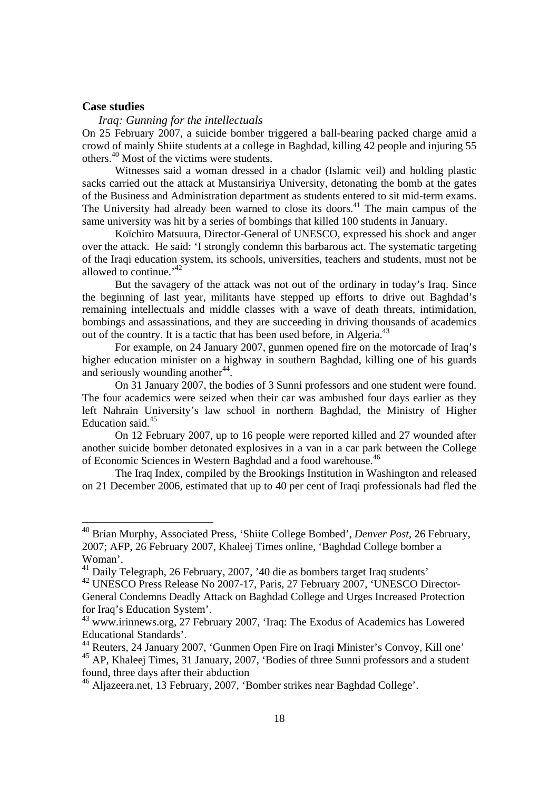#### **Case studies**

#### *Iraq: Gunning for the intellectuals*

On 25 February 2007, a suicide bomber triggered a ball-bearing packed charge amid a crowd of mainly Shiite students at a college in Baghdad, killing 42 people and injuring 55 others.40 Most of the victims were students.

Witnesses said a woman dressed in a chador (Islamic veil) and holding plastic sacks carried out the attack at Mustansiriya University, detonating the bomb at the gates of the Business and Administration department as students entered to sit mid-term exams. The University had already been warned to close its doors.<sup>41</sup> The main campus of the same university was hit by a series of bombings that killed 100 students in January.

Koïchiro Matsuura, Director-General of UNESCO, expressed his shock and anger over the attack. He said: 'I strongly condemn this barbarous act. The systematic targeting of the Iraqi education system, its schools, universities, teachers and students, must not be allowed to continue.<sup> $42$ </sup>

But the savagery of the attack was not out of the ordinary in today's Iraq. Since the beginning of last year, militants have stepped up efforts to drive out Baghdad's remaining intellectuals and middle classes with a wave of death threats, intimidation, bombings and assassinations, and they are succeeding in driving thousands of academics out of the country. It is a tactic that has been used before, in Algeria.<sup>43</sup>

For example, on 24 January 2007, gunmen opened fire on the motorcade of Iraq's higher education minister on a highway in southern Baghdad, killing one of his guards and seriously wounding another<sup>44</sup>.

On 31 January 2007, the bodies of 3 Sunni professors and one student were found. The four academics were seized when their car was ambushed four days earlier as they left Nahrain University's law school in northern Baghdad, the Ministry of Higher Education said.<sup>45</sup>

On 12 February 2007, up to 16 people were reported killed and 27 wounded after another suicide bomber detonated explosives in a van in a car park between the College of Economic Sciences in Western Baghdad and a food warehouse.<sup>46</sup>

The Iraq Index, compiled by the Brookings Institution in Washington and released on 21 December 2006, estimated that up to 40 per cent of Iraqi professionals had fled the

<sup>40</sup> Brian Murphy, Associated Press, 'Shiite College Bombed', *Denver Post*, 26 February, 2007; AFP, 26 February 2007, Khaleej Times online, 'Baghdad College bomber a Woman'.

<sup>41</sup> Daily Telegraph, 26 February, 2007, '40 die as bombers target Iraq students'

<sup>42</sup> UNESCO Press Release No 2007-17, Paris, 27 February 2007, 'UNESCO Director-General Condemns Deadly Attack on Baghdad College and Urges Increased Protection for Iraq's Education System'.

<sup>43</sup> www.irinnews.org, 27 February 2007, 'Iraq: The Exodus of Academics has Lowered Educational Standards'.

<sup>44</sup> Reuters, 24 January 2007, 'Gunmen Open Fire on Iraqi Minister's Convoy, Kill one'

<sup>&</sup>lt;sup>45</sup> AP, Khaleej Times, 31 January, 2007, 'Bodies of three Sunni professors and a student found, three days after their abduction

<sup>46</sup> Aljazeera.net, 13 February, 2007, 'Bomber strikes near Baghdad College'.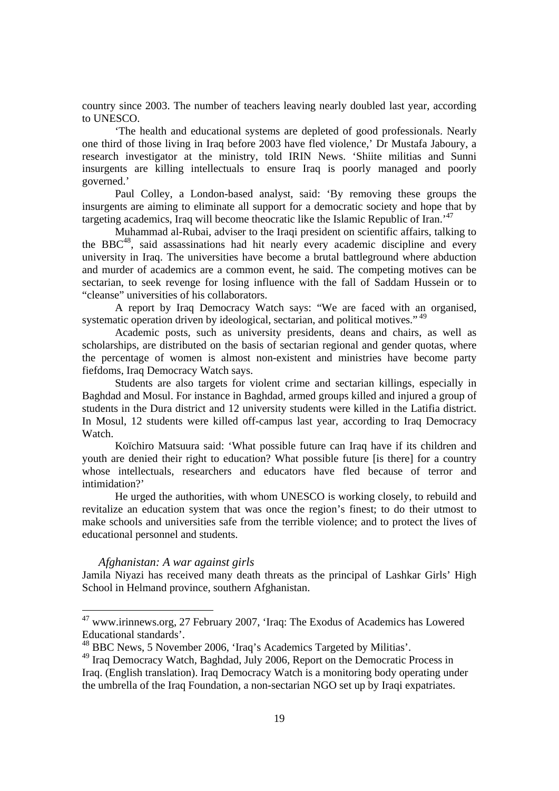country since 2003. The number of teachers leaving nearly doubled last year, according to UNESCO.

'The health and educational systems are depleted of good professionals. Nearly one third of those living in Iraq before 2003 have fled violence,' Dr Mustafa Jaboury, a research investigator at the ministry, told IRIN News. 'Shiite militias and Sunni insurgents are killing intellectuals to ensure Iraq is poorly managed and poorly governed.'

Paul Colley, a London-based analyst, said: 'By removing these groups the insurgents are aiming to eliminate all support for a democratic society and hope that by targeting academics, Iraq will become theocratic like the Islamic Republic of Iran.'47

Muhammad al-Rubai, adviser to the Iraqi president on scientific affairs, talking to the BBC $48$ , said assassinations had hit nearly every academic discipline and every university in Iraq. The universities have become a brutal battleground where abduction and murder of academics are a common event, he said. The competing motives can be sectarian, to seek revenge for losing influence with the fall of Saddam Hussein or to "cleanse" universities of his collaborators.

A report by Iraq Democracy Watch says: "We are faced with an organised, systematic operation driven by ideological, sectarian, and political motives."<sup>49</sup>

Academic posts, such as university presidents, deans and chairs, as well as scholarships, are distributed on the basis of sectarian regional and gender quotas, where the percentage of women is almost non-existent and ministries have become party fiefdoms, Iraq Democracy Watch says.

Students are also targets for violent crime and sectarian killings, especially in Baghdad and Mosul. For instance in Baghdad, armed groups killed and injured a group of students in the Dura district and 12 university students were killed in the Latifia district. In Mosul, 12 students were killed off-campus last year, according to Iraq Democracy Watch.

Koïchiro Matsuura said: 'What possible future can Iraq have if its children and youth are denied their right to education? What possible future [is there] for a country whose intellectuals, researchers and educators have fled because of terror and intimidation?'

He urged the authorities, with whom UNESCO is working closely, to rebuild and revitalize an education system that was once the region's finest; to do their utmost to make schools and universities safe from the terrible violence; and to protect the lives of educational personnel and students.

#### *Afghanistan: A war against girls*

 $\overline{a}$ 

Jamila Niyazi has received many death threats as the principal of Lashkar Girls' High School in Helmand province, southern Afghanistan.

<sup>47</sup> www.irinnews.org, 27 February 2007, 'Iraq: The Exodus of Academics has Lowered Educational standards'.

<sup>48</sup> BBC News, 5 November 2006, 'Iraq's Academics Targeted by Militias'.

<sup>&</sup>lt;sup>49</sup> Iraq Democracy Watch, Baghdad, July 2006, Report on the Democratic Process in Iraq. (English translation). Iraq Democracy Watch is a monitoring body operating under the umbrella of the Iraq Foundation, a non-sectarian NGO set up by Iraqi expatriates.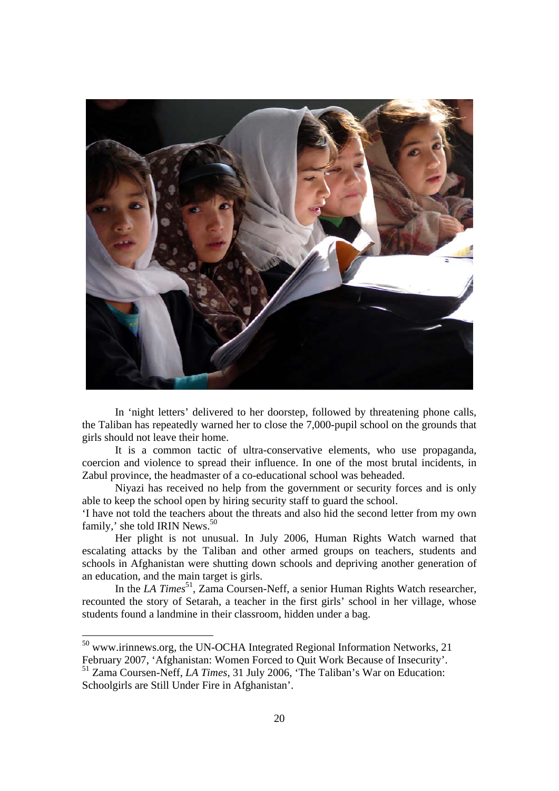

In 'night letters' delivered to her doorstep, followed by threatening phone calls, the Taliban has repeatedly warned her to close the 7,000-pupil school on the grounds that girls should not leave their home.

It is a common tactic of ultra-conservative elements, who use propaganda, coercion and violence to spread their influence. In one of the most brutal incidents, in Zabul province, the headmaster of a co-educational school was beheaded.

Niyazi has received no help from the government or security forces and is only able to keep the school open by hiring security staff to guard the school.

'I have not told the teachers about the threats and also hid the second letter from my own family,' she told IRIN News.<sup>50</sup>

Her plight is not unusual. In July 2006, Human Rights Watch warned that escalating attacks by the Taliban and other armed groups on teachers, students and schools in Afghanistan were shutting down schools and depriving another generation of an education, and the main target is girls.

In the *LA Times*<sup>51</sup>, Zama Coursen-Neff, a senior Human Rights Watch researcher, recounted the story of Setarah, a teacher in the first girls' school in her village, whose students found a landmine in their classroom, hidden under a bag.

<sup>&</sup>lt;sup>50</sup> www.irinnews.org, the UN-OCHA Integrated Regional Information Networks, 21

February 2007, 'Afghanistan: Women Forced to Quit Work Because of Insecurity'.

<sup>51</sup> Zama Coursen-Neff, *LA Times*, 31 July 2006, 'The Taliban's War on Education: Schoolgirls are Still Under Fire in Afghanistan'.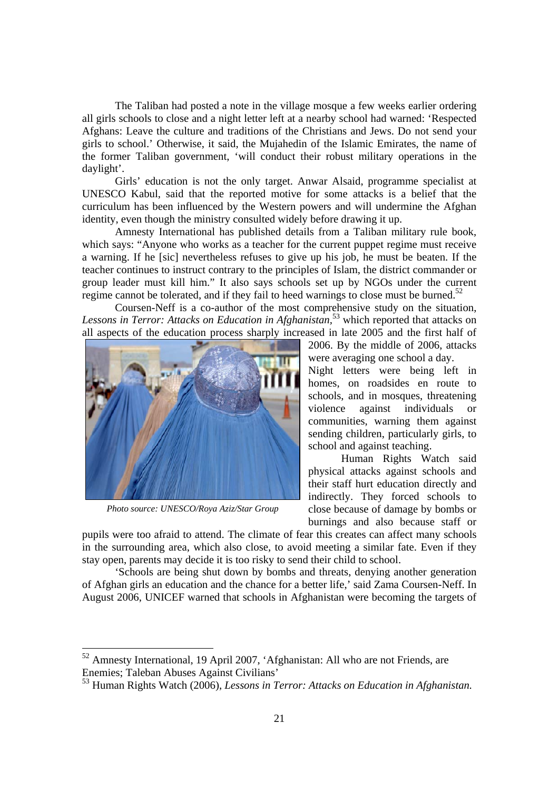The Taliban had posted a note in the village mosque a few weeks earlier ordering all girls schools to close and a night letter left at a nearby school had warned: 'Respected Afghans: Leave the culture and traditions of the Christians and Jews. Do not send your girls to school.' Otherwise, it said, the Mujahedin of the Islamic Emirates, the name of the former Taliban government, 'will conduct their robust military operations in the daylight'.

Girls' education is not the only target. Anwar Alsaid, programme specialist at UNESCO Kabul, said that the reported motive for some attacks is a belief that the curriculum has been influenced by the Western powers and will undermine the Afghan identity, even though the ministry consulted widely before drawing it up.

Amnesty International has published details from a Taliban military rule book, which says: "Anyone who works as a teacher for the current puppet regime must receive a warning. If he [sic] nevertheless refuses to give up his job, he must be beaten. If the teacher continues to instruct contrary to the principles of Islam, the district commander or group leader must kill him." It also says schools set up by NGOs under the current regime cannot be tolerated, and if they fail to heed warnings to close must be burned.<sup>52</sup>

Coursen-Neff is a co-author of the most comprehensive study on the situation, *Lessons in Terror: Attacks on Education in Afghanistan,*53 which reported that attacks on all aspects of the education process sharply increased in late 2005 and the first half of



*Photo source: UNESCO/Roya Aziz/Star Group* 

2006. By the middle of 2006, attacks were averaging one school a day.

Night letters were being left in homes, on roadsides en route to schools, and in mosques, threatening violence against individuals or communities, warning them against sending children, particularly girls, to school and against teaching.

Human Rights Watch said physical attacks against schools and their staff hurt education directly and indirectly. They forced schools to close because of damage by bombs or burnings and also because staff or

pupils were too afraid to attend. The climate of fear this creates can affect many schools in the surrounding area, which also close, to avoid meeting a similar fate. Even if they stay open, parents may decide it is too risky to send their child to school.

'Schools are being shut down by bombs and threats, denying another generation of Afghan girls an education and the chance for a better life,' said Zama Coursen-Neff. In August 2006, UNICEF warned that schools in Afghanistan were becoming the targets of

 $52$  Amnesty International, 19 April 2007, 'Afghanistan: All who are not Friends, are Enemies; Taleban Abuses Against Civilians'

<sup>53</sup> Human Rights Watch (2006), *Lessons in Terror: Attacks on Education in Afghanistan.*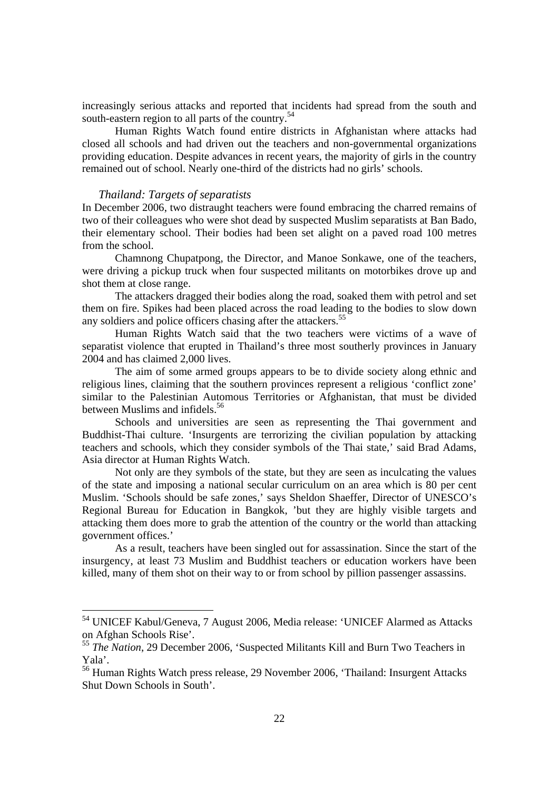increasingly serious attacks and reported that incidents had spread from the south and south-eastern region to all parts of the country.<sup>54</sup>

Human Rights Watch found entire districts in Afghanistan where attacks had closed all schools and had driven out the teachers and non-governmental organizations providing education. Despite advances in recent years, the majority of girls in the country remained out of school. Nearly one-third of the districts had no girls' schools.

#### *Thailand: Targets of separatists*

 $\overline{a}$ 

In December 2006, two distraught teachers were found embracing the charred remains of two of their colleagues who were shot dead by suspected Muslim separatists at Ban Bado, their elementary school. Their bodies had been set alight on a paved road 100 metres from the school.

Chamnong Chupatpong, the Director, and Manoe Sonkawe, one of the teachers, were driving a pickup truck when four suspected militants on motorbikes drove up and shot them at close range.

The attackers dragged their bodies along the road, soaked them with petrol and set them on fire. Spikes had been placed across the road leading to the bodies to slow down any soldiers and police officers chasing after the attackers.<sup>55</sup>

Human Rights Watch said that the two teachers were victims of a wave of separatist violence that erupted in Thailand's three most southerly provinces in January 2004 and has claimed 2,000 lives.

The aim of some armed groups appears to be to divide society along ethnic and religious lines, claiming that the southern provinces represent a religious 'conflict zone' similar to the Palestinian Automous Territories or Afghanistan, that must be divided between Muslims and infidels.<sup>56</sup>

Schools and universities are seen as representing the Thai government and Buddhist-Thai culture. 'Insurgents are terrorizing the civilian population by attacking teachers and schools, which they consider symbols of the Thai state,' said Brad Adams, Asia director at Human Rights Watch.

Not only are they symbols of the state, but they are seen as inculcating the values of the state and imposing a national secular curriculum on an area which is 80 per cent Muslim. 'Schools should be safe zones,' says Sheldon Shaeffer, Director of UNESCO's Regional Bureau for Education in Bangkok, 'but they are highly visible targets and attacking them does more to grab the attention of the country or the world than attacking government offices.'

As a result, teachers have been singled out for assassination. Since the start of the insurgency, at least 73 Muslim and Buddhist teachers or education workers have been killed, many of them shot on their way to or from school by pillion passenger assassins.

<sup>54</sup> UNICEF Kabul/Geneva, 7 August 2006, Media release: 'UNICEF Alarmed as Attacks on Afghan Schools Rise'.

<sup>&</sup>lt;sup>55</sup> *The Nation*, 29 December 2006, 'Suspected Militants Kill and Burn Two Teachers in Yala'.

<sup>56</sup> Human Rights Watch press release, 29 November 2006, 'Thailand: Insurgent Attacks Shut Down Schools in South'.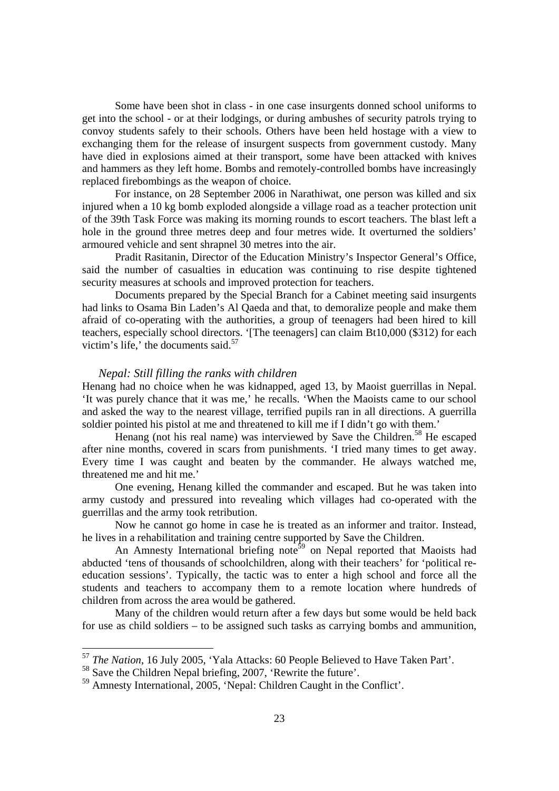Some have been shot in class - in one case insurgents donned school uniforms to get into the school - or at their lodgings, or during ambushes of security patrols trying to convoy students safely to their schools. Others have been held hostage with a view to exchanging them for the release of insurgent suspects from government custody. Many have died in explosions aimed at their transport, some have been attacked with knives and hammers as they left home. Bombs and remotely-controlled bombs have increasingly replaced firebombings as the weapon of choice.

For instance, on 28 September 2006 in Narathiwat, one person was killed and six injured when a 10 kg bomb exploded alongside a village road as a teacher protection unit of the 39th Task Force was making its morning rounds to escort teachers. The blast left a hole in the ground three metres deep and four metres wide. It overturned the soldiers' armoured vehicle and sent shrapnel 30 metres into the air.

 Pradit Rasitanin, Director of the Education Ministry's Inspector General's Office, said the number of casualties in education was continuing to rise despite tightened security measures at schools and improved protection for teachers.

Documents prepared by the Special Branch for a Cabinet meeting said insurgents had links to Osama Bin Laden's Al Qaeda and that, to demoralize people and make them afraid of co-operating with the authorities, a group of teenagers had been hired to kill teachers, especially school directors. '[The teenagers] can claim Bt10,000 (\$312) for each victim's life,' the documents said. $57$ 

#### *Nepal: Still filling the ranks with children*

Henang had no choice when he was kidnapped, aged 13, by Maoist guerrillas in Nepal. 'It was purely chance that it was me,' he recalls. 'When the Maoists came to our school and asked the way to the nearest village, terrified pupils ran in all directions. A guerrilla soldier pointed his pistol at me and threatened to kill me if I didn't go with them.'

Henang (not his real name) was interviewed by Save the Children.<sup>58</sup> He escaped after nine months, covered in scars from punishments. 'I tried many times to get away. Every time I was caught and beaten by the commander. He always watched me, threatened me and hit me.'

One evening, Henang killed the commander and escaped. But he was taken into army custody and pressured into revealing which villages had co-operated with the guerrillas and the army took retribution.

Now he cannot go home in case he is treated as an informer and traitor. Instead, he lives in a rehabilitation and training centre supported by Save the Children.

An Amnesty International briefing note<sup>59</sup> on Nepal reported that Maoists had abducted 'tens of thousands of schoolchildren, along with their teachers' for 'political reeducation sessions'. Typically, the tactic was to enter a high school and force all the students and teachers to accompany them to a remote location where hundreds of children from across the area would be gathered.

Many of the children would return after a few days but some would be held back for use as child soldiers – to be assigned such tasks as carrying bombs and ammunition,

<sup>57</sup> *The Nation*, 16 July 2005, 'Yala Attacks: 60 People Believed to Have Taken Part'.

<sup>58</sup> Save the Children Nepal briefing, 2007, 'Rewrite the future'.

<sup>59</sup> Amnesty International, 2005, 'Nepal: Children Caught in the Conflict'.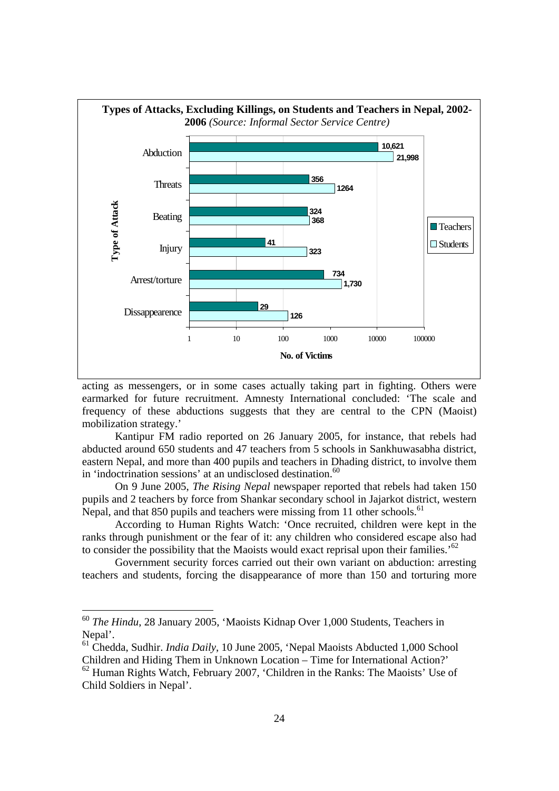

acting as messengers, or in some cases actually taking part in fighting. Others were earmarked for future recruitment. Amnesty International concluded: 'The scale and frequency of these abductions suggests that they are central to the CPN (Maoist) mobilization strategy.'

Kantipur FM radio reported on 26 January 2005, for instance, that rebels had abducted around 650 students and 47 teachers from 5 schools in Sankhuwasabha district, eastern Nepal, and more than 400 pupils and teachers in Dhading district, to involve them in 'indoctrination sessions' at an undisclosed destination.<sup>60</sup>

On 9 June 2005, *The Rising Nepal* newspaper reported that rebels had taken 150 pupils and 2 teachers by force from Shankar secondary school in Jajarkot district, western Nepal, and that 850 pupils and teachers were missing from 11 other schools.<sup>61</sup>

According to Human Rights Watch: 'Once recruited, children were kept in the ranks through punishment or the fear of it: any children who considered escape also had to consider the possibility that the Maoists would exact reprisal upon their families.<sup>62</sup>

Government security forces carried out their own variant on abduction: arresting teachers and students, forcing the disappearance of more than 150 and torturing more

 $\overline{a}$ 

<sup>60</sup> *The Hindu*, 28 January 2005, 'Maoists Kidnap Over 1,000 Students, Teachers in Nepal'.

<sup>61</sup> Chedda, Sudhir. *India Daily*, 10 June 2005, 'Nepal Maoists Abducted 1,000 School Children and Hiding Them in Unknown Location – Time for International Action?' 62 Human Rights Watch, February 2007, 'Children in the Ranks: The Maoists' Use of Child Soldiers in Nepal'.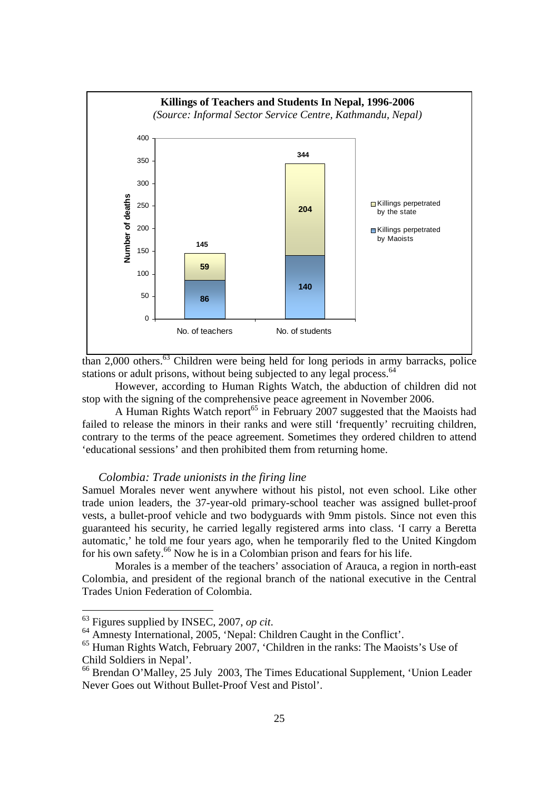

than 2,000 others.63 Children were being held for long periods in army barracks, police stations or adult prisons, without being subjected to any legal process.<sup>64</sup>

However, according to Human Rights Watch, the abduction of children did not stop with the signing of the comprehensive peace agreement in November 2006.

A Human Rights Watch report<sup>65</sup> in February 2007 suggested that the Maoists had failed to release the minors in their ranks and were still 'frequently' recruiting children, contrary to the terms of the peace agreement. Sometimes they ordered children to attend 'educational sessions' and then prohibited them from returning home.

#### *Colombia: Trade unionists in the firing line*

Samuel Morales never went anywhere without his pistol, not even school. Like other trade union leaders, the 37-year-old primary-school teacher was assigned bullet-proof vests, a bullet-proof vehicle and two bodyguards with 9mm pistols. Since not even this guaranteed his security, he carried legally registered arms into class. 'I carry a Beretta automatic,' he told me four years ago, when he temporarily fled to the United Kingdom for his own safety.66 Now he is in a Colombian prison and fears for his life.

 Morales is a member of the teachers' association of Arauca, a region in north-east Colombia, and president of the regional branch of the national executive in the Central Trades Union Federation of Colombia.

 $\overline{a}$ 

<sup>63</sup> Figures supplied by INSEC, 2007, *op cit*. 64 Amnesty International, 2005, 'Nepal: Children Caught in the Conflict'.

<sup>65</sup> Human Rights Watch, February 2007, 'Children in the ranks: The Maoists's Use of Child Soldiers in Nepal'.

<sup>66</sup> Brendan O'Malley, 25 July 2003, The Times Educational Supplement, 'Union Leader Never Goes out Without Bullet-Proof Vest and Pistol'.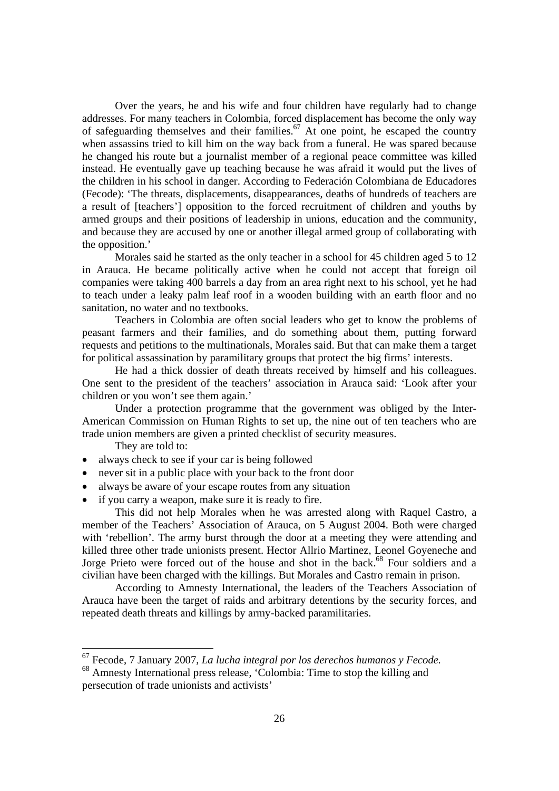Over the years, he and his wife and four children have regularly had to change addresses. For many teachers in Colombia, forced displacement has become the only way of safeguarding themselves and their families.<sup>67</sup> At one point, he escaped the country when assassins tried to kill him on the way back from a funeral. He was spared because he changed his route but a journalist member of a regional peace committee was killed instead. He eventually gave up teaching because he was afraid it would put the lives of the children in his school in danger. According to Federación Colombiana de Educadores (Fecode): 'The threats, displacements, disappearances, deaths of hundreds of teachers are a result of [teachers'] opposition to the forced recruitment of children and youths by armed groups and their positions of leadership in unions, education and the community, and because they are accused by one or another illegal armed group of collaborating with the opposition.'

 Morales said he started as the only teacher in a school for 45 children aged 5 to 12 in Arauca. He became politically active when he could not accept that foreign oil companies were taking 400 barrels a day from an area right next to his school, yet he had to teach under a leaky palm leaf roof in a wooden building with an earth floor and no sanitation, no water and no textbooks.

Teachers in Colombia are often social leaders who get to know the problems of peasant farmers and their families, and do something about them, putting forward requests and petitions to the multinationals, Morales said. But that can make them a target for political assassination by paramilitary groups that protect the big firms' interests.

He had a thick dossier of death threats received by himself and his colleagues. One sent to the president of the teachers' association in Arauca said: 'Look after your children or you won't see them again.'

Under a protection programme that the government was obliged by the Inter-American Commission on Human Rights to set up, the nine out of ten teachers who are trade union members are given a printed checklist of security measures.

They are told to:

- always check to see if your car is being followed
- never sit in a public place with your back to the front door
- always be aware of your escape routes from any situation
- if you carry a weapon, make sure it is ready to fire.

This did not help Morales when he was arrested along with Raquel Castro, a member of the Teachers' Association of Arauca, on 5 August 2004. Both were charged with 'rebellion'. The army burst through the door at a meeting they were attending and killed three other trade unionists present. Hector Allrio Martinez, Leonel Goyeneche and Jorge Prieto were forced out of the house and shot in the back.<sup>68</sup> Four soldiers and a civilian have been charged with the killings. But Morales and Castro remain in prison.

According to Amnesty International, the leaders of the Teachers Association of Arauca have been the target of raids and arbitrary detentions by the security forces, and repeated death threats and killings by army-backed paramilitaries.

<sup>67</sup> Fecode, 7 January 2007, *La lucha integral por los derechos humanos y Fecode.*

<sup>68</sup> Amnesty International press release, 'Colombia: Time to stop the killing and persecution of trade unionists and activists'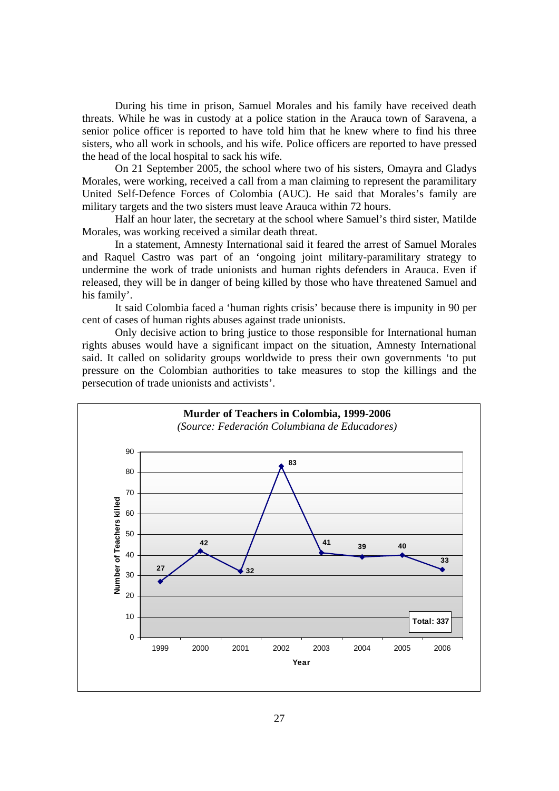During his time in prison, Samuel Morales and his family have received death threats. While he was in custody at a police station in the Arauca town of Saravena, a senior police officer is reported to have told him that he knew where to find his three sisters, who all work in schools, and his wife. Police officers are reported to have pressed the head of the local hospital to sack his wife.

On 21 September 2005, the school where two of his sisters, Omayra and Gladys Morales, were working, received a call from a man claiming to represent the paramilitary United Self-Defence Forces of Colombia (AUC). He said that Morales's family are military targets and the two sisters must leave Arauca within 72 hours.

Half an hour later, the secretary at the school where Samuel's third sister, Matilde Morales, was working received a similar death threat.

In a statement, Amnesty International said it feared the arrest of Samuel Morales and Raquel Castro was part of an 'ongoing joint military-paramilitary strategy to undermine the work of trade unionists and human rights defenders in Arauca. Even if released, they will be in danger of being killed by those who have threatened Samuel and his family'.

It said Colombia faced a 'human rights crisis' because there is impunity in 90 per cent of cases of human rights abuses against trade unionists.

Only decisive action to bring justice to those responsible for International human rights abuses would have a significant impact on the situation, Amnesty International said. It called on solidarity groups worldwide to press their own governments 'to put pressure on the Colombian authorities to take measures to stop the killings and the persecution of trade unionists and activists'.

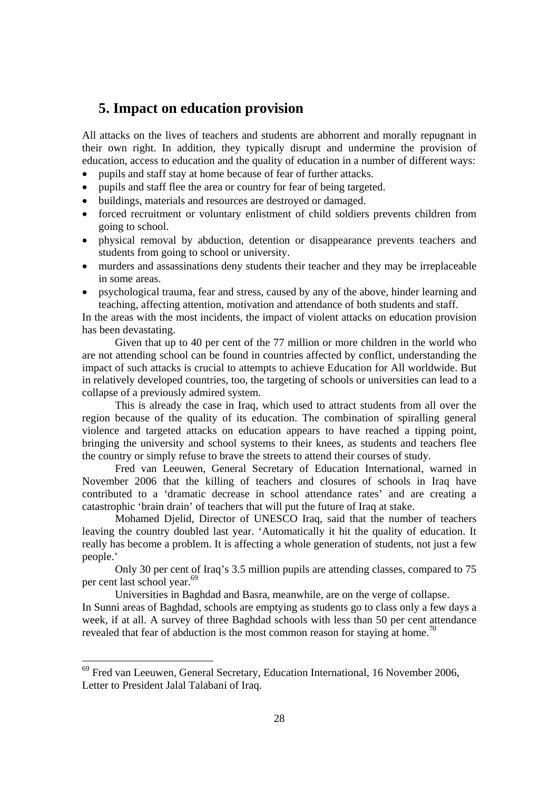# **5. Impact on education provision**

All attacks on the lives of teachers and students are abhorrent and morally repugnant in their own right. In addition, they typically disrupt and undermine the provision of education, access to education and the quality of education in a number of different ways:

- pupils and staff stay at home because of fear of further attacks.
- pupils and staff flee the area or country for fear of being targeted.
- buildings, materials and resources are destroyed or damaged.
- forced recruitment or voluntary enlistment of child soldiers prevents children from going to school.
- physical removal by abduction, detention or disappearance prevents teachers and students from going to school or university.
- murders and assassinations deny students their teacher and they may be irreplaceable in some areas.
- psychological trauma, fear and stress, caused by any of the above, hinder learning and teaching, affecting attention, motivation and attendance of both students and staff.

In the areas with the most incidents, the impact of violent attacks on education provision has been devastating.

Given that up to 40 per cent of the 77 million or more children in the world who are not attending school can be found in countries affected by conflict, understanding the impact of such attacks is crucial to attempts to achieve Education for All worldwide. But in relatively developed countries, too, the targeting of schools or universities can lead to a collapse of a previously admired system.

This is already the case in Iraq, which used to attract students from all over the region because of the quality of its education. The combination of spiralling general violence and targeted attacks on education appears to have reached a tipping point, bringing the university and school systems to their knees, as students and teachers flee the country or simply refuse to brave the streets to attend their courses of study.

Fred van Leeuwen, General Secretary of Education International, warned in November 2006 that the killing of teachers and closures of schools in Iraq have contributed to a 'dramatic decrease in school attendance rates' and are creating a catastrophic 'brain drain' of teachers that will put the future of Iraq at stake.

Mohamed Djelid, Director of UNESCO Iraq, said that the number of teachers leaving the country doubled last year. 'Automatically it hit the quality of education. It really has become a problem. It is affecting a whole generation of students, not just a few people.'

Only 30 per cent of Iraq's 3.5 million pupils are attending classes, compared to 75 per cent last school year.<sup>69</sup>

Universities in Baghdad and Basra, meanwhile, are on the verge of collapse. In Sunni areas of Baghdad, schools are emptying as students go to class only a few days a

week, if at all. A survey of three Baghdad schools with less than 50 per cent attendance revealed that fear of abduction is the most common reason for staying at home.<sup>70</sup>

 $69$  Fred van Leeuwen, General Secretary, Education International, 16 November 2006, Letter to President Jalal Talabani of Iraq.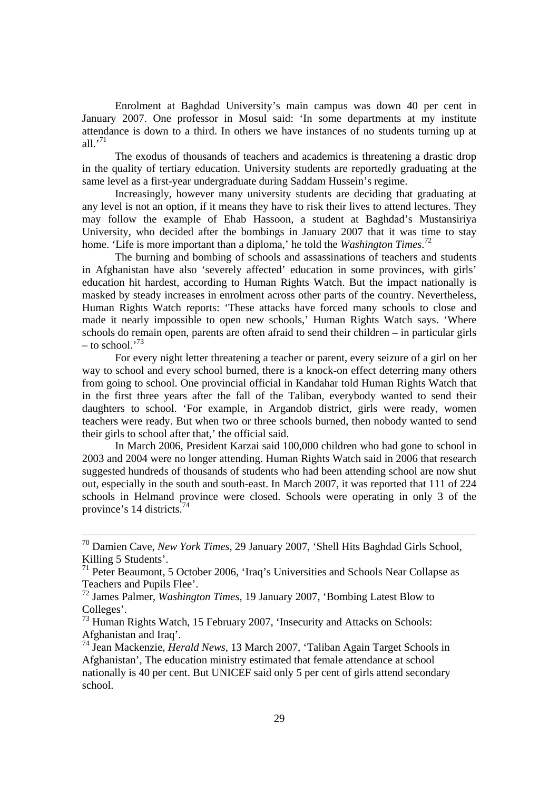Enrolment at Baghdad University's main campus was down 40 per cent in January 2007. One professor in Mosul said: 'In some departments at my institute attendance is down to a third. In others we have instances of no students turning up at all  $^{,71}$ 

The exodus of thousands of teachers and academics is threatening a drastic drop in the quality of tertiary education. University students are reportedly graduating at the same level as a first-year undergraduate during Saddam Hussein's regime.

Increasingly, however many university students are deciding that graduating at any level is not an option, if it means they have to risk their lives to attend lectures. They may follow the example of Ehab Hassoon, a student at Baghdad's Mustansiriya University, who decided after the bombings in January 2007 that it was time to stay home. 'Life is more important than a diploma,' he told the *Washington Times*. 72

The burning and bombing of schools and assassinations of teachers and students in Afghanistan have also 'severely affected' education in some provinces, with girls' education hit hardest, according to Human Rights Watch. But the impact nationally is masked by steady increases in enrolment across other parts of the country. Nevertheless, Human Rights Watch reports: 'These attacks have forced many schools to close and made it nearly impossible to open new schools,' Human Rights Watch says. 'Where schools do remain open, parents are often afraid to send their children – in particular girls  $-$  to school.<sup>73</sup>

For every night letter threatening a teacher or parent, every seizure of a girl on her way to school and every school burned, there is a knock-on effect deterring many others from going to school. One provincial official in Kandahar told Human Rights Watch that in the first three years after the fall of the Taliban, everybody wanted to send their daughters to school. 'For example, in Argandob district, girls were ready, women teachers were ready. But when two or three schools burned, then nobody wanted to send their girls to school after that,' the official said.

In March 2006, President Karzai said 100,000 children who had gone to school in 2003 and 2004 were no longer attending. Human Rights Watch said in 2006 that research suggested hundreds of thousands of students who had been attending school are now shut out, especially in the south and south-east. In March 2007, it was reported that 111 of 224 schools in Helmand province were closed. Schools were operating in only 3 of the province's 14 districts.<sup>74</sup>

 <sup>70</sup> Damien Cave, *New York Times*, 29 January 2007, 'Shell Hits Baghdad Girls School, Killing 5 Students'.

<sup>71</sup> Peter Beaumont, 5 October 2006, 'Iraq's Universities and Schools Near Collapse as Teachers and Pupils Flee'.

<sup>72</sup> James Palmer, *Washington Times*, 19 January 2007, 'Bombing Latest Blow to Colleges'.

<sup>&</sup>lt;sup>73</sup> Human Rights Watch, 15 February 2007, 'Insecurity and Attacks on Schools: Afghanistan and Iraq'.

<sup>74</sup> Jean Mackenzie, *Herald News*, 13 March 2007, 'Taliban Again Target Schools in Afghanistan', The education ministry estimated that female attendance at school nationally is 40 per cent. But UNICEF said only 5 per cent of girls attend secondary school.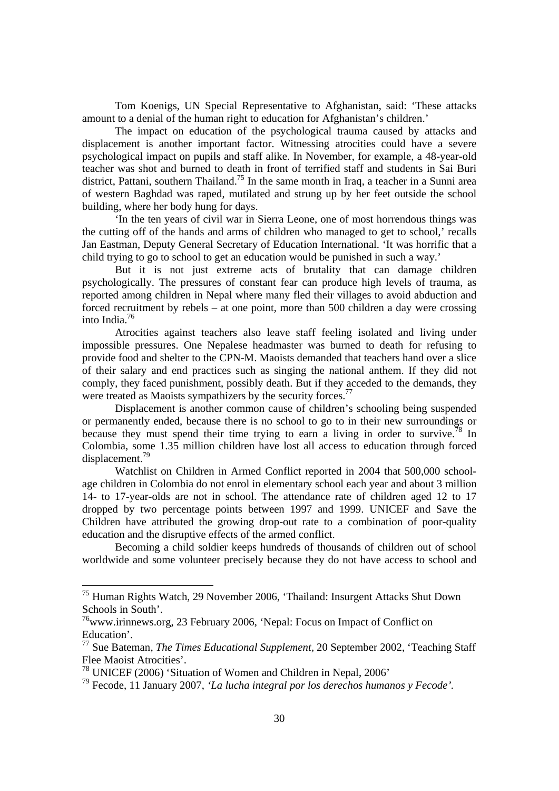Tom Koenigs, UN Special Representative to Afghanistan, said: 'These attacks amount to a denial of the human right to education for Afghanistan's children.'

The impact on education of the psychological trauma caused by attacks and displacement is another important factor. Witnessing atrocities could have a severe psychological impact on pupils and staff alike. In November, for example, a 48-year-old teacher was shot and burned to death in front of terrified staff and students in Sai Buri district, Pattani, southern Thailand.<sup>75</sup> In the same month in Iraq, a teacher in a Sunni area of western Baghdad was raped, mutilated and strung up by her feet outside the school building, where her body hung for days.

'In the ten years of civil war in Sierra Leone, one of most horrendous things was the cutting off of the hands and arms of children who managed to get to school,' recalls Jan Eastman, Deputy General Secretary of Education International. 'It was horrific that a child trying to go to school to get an education would be punished in such a way.'

But it is not just extreme acts of brutality that can damage children psychologically. The pressures of constant fear can produce high levels of trauma, as reported among children in Nepal where many fled their villages to avoid abduction and forced recruitment by rebels – at one point, more than 500 children a day were crossing into India.76

Atrocities against teachers also leave staff feeling isolated and living under impossible pressures. One Nepalese headmaster was burned to death for refusing to provide food and shelter to the CPN-M. Maoists demanded that teachers hand over a slice of their salary and end practices such as singing the national anthem. If they did not comply, they faced punishment, possibly death. But if they acceded to the demands, they were treated as Maoists sympathizers by the security forces.<sup>77</sup>

Displacement is another common cause of children's schooling being suspended or permanently ended, because there is no school to go to in their new surroundings or because they must spend their time trying to earn a living in order to survive.<sup>78</sup> In Colombia, some 1.35 million children have lost all access to education through forced displacement.79

Watchlist on Children in Armed Conflict reported in 2004 that 500,000 schoolage children in Colombia do not enrol in elementary school each year and about 3 million 14- to 17-year-olds are not in school. The attendance rate of children aged 12 to 17 dropped by two percentage points between 1997 and 1999. UNICEF and Save the Children have attributed the growing drop-out rate to a combination of poor-quality education and the disruptive effects of the armed conflict.

Becoming a child soldier keeps hundreds of thousands of children out of school worldwide and some volunteer precisely because they do not have access to school and

<sup>&</sup>lt;sup>75</sup> Human Rights Watch, 29 November 2006, 'Thailand: Insurgent Attacks Shut Down Schools in South'.

<sup>76</sup>www.irinnews.org, 23 February 2006, 'Nepal: Focus on Impact of Conflict on Education'.

<sup>77</sup> Sue Bateman, *The Times Educational Supplement,* 20 September 2002, 'Teaching Staff Flee Maoist Atrocities'.

<sup>78</sup> UNICEF (2006) 'Situation of Women and Children in Nepal, 2006'

<sup>79</sup> Fecode, 11 January 2007, *'La lucha integral por los derechos humanos y Fecode'.*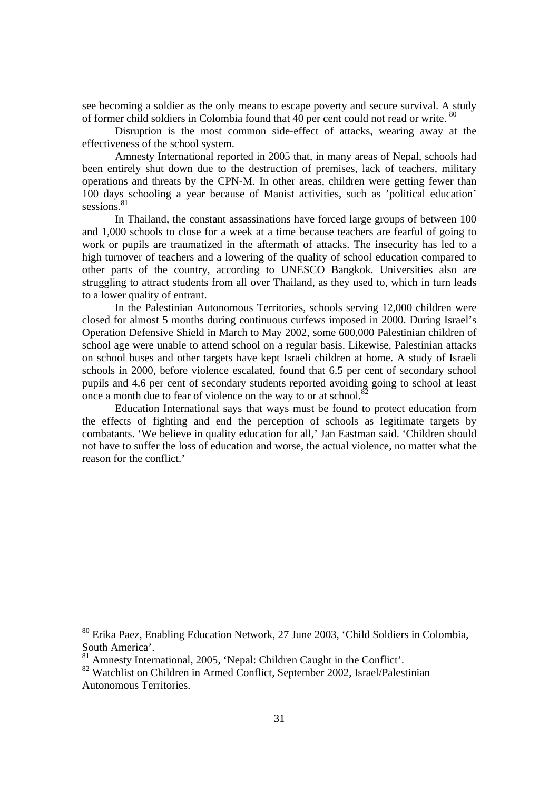see becoming a soldier as the only means to escape poverty and secure survival. A study of former child soldiers in Colombia found that 40 per cent could not read or write. <sup>80</sup>

Disruption is the most common side-effect of attacks, wearing away at the effectiveness of the school system.

Amnesty International reported in 2005 that, in many areas of Nepal, schools had been entirely shut down due to the destruction of premises, lack of teachers, military operations and threats by the CPN-M. In other areas, children were getting fewer than 100 days schooling a year because of Maoist activities, such as 'political education' sessions.<sup>81</sup>

In Thailand, the constant assassinations have forced large groups of between 100 and 1,000 schools to close for a week at a time because teachers are fearful of going to work or pupils are traumatized in the aftermath of attacks. The insecurity has led to a high turnover of teachers and a lowering of the quality of school education compared to other parts of the country, according to UNESCO Bangkok. Universities also are struggling to attract students from all over Thailand, as they used to, which in turn leads to a lower quality of entrant.

In the Palestinian Autonomous Territories, schools serving 12,000 children were closed for almost 5 months during continuous curfews imposed in 2000. During Israel's Operation Defensive Shield in March to May 2002, some 600,000 Palestinian children of school age were unable to attend school on a regular basis. Likewise, Palestinian attacks on school buses and other targets have kept Israeli children at home. A study of Israeli schools in 2000, before violence escalated, found that 6.5 per cent of secondary school pupils and 4.6 per cent of secondary students reported avoiding going to school at least once a month due to fear of violence on the way to or at school.<sup>8</sup>

Education International says that ways must be found to protect education from the effects of fighting and end the perception of schools as legitimate targets by combatants. 'We believe in quality education for all,' Jan Eastman said. 'Children should not have to suffer the loss of education and worse, the actual violence, no matter what the reason for the conflict.'

<sup>80</sup> Erika Paez, Enabling Education Network, 27 June 2003, 'Child Soldiers in Colombia, South America'.

<sup>&</sup>lt;sup>81</sup> Amnesty International, 2005, 'Nepal: Children Caught in the Conflict'.

<sup>82</sup> Watchlist on Children in Armed Conflict, September 2002, Israel/Palestinian Autonomous Territories.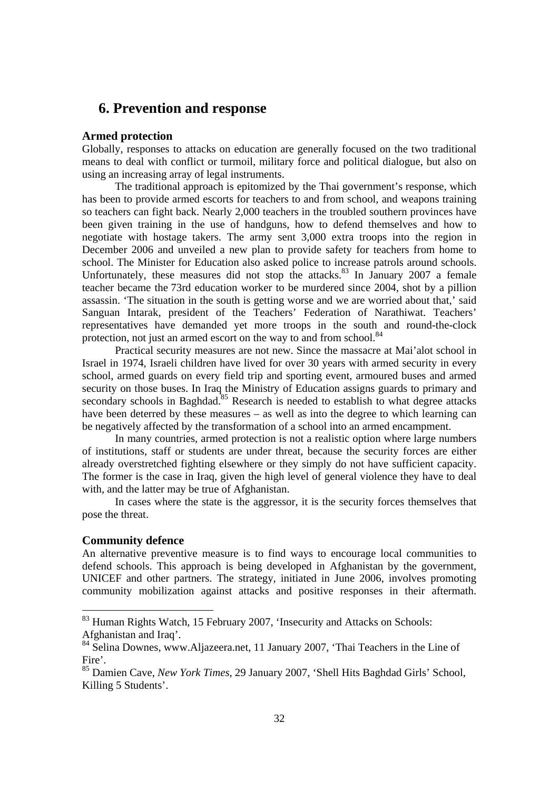## **6. Prevention and response**

#### **Armed protection**

Globally, responses to attacks on education are generally focused on the two traditional means to deal with conflict or turmoil, military force and political dialogue, but also on using an increasing array of legal instruments.

The traditional approach is epitomized by the Thai government's response, which has been to provide armed escorts for teachers to and from school, and weapons training so teachers can fight back. Nearly 2,000 teachers in the troubled southern provinces have been given training in the use of handguns, how to defend themselves and how to negotiate with hostage takers. The army sent 3,000 extra troops into the region in December 2006 and unveiled a new plan to provide safety for teachers from home to school. The Minister for Education also asked police to increase patrols around schools. Unfortunately, these measures did not stop the attacks. $83$  In January 2007 a female teacher became the 73rd education worker to be murdered since 2004, shot by a pillion assassin. 'The situation in the south is getting worse and we are worried about that,' said Sanguan Intarak, president of the Teachers' Federation of Narathiwat. Teachers' representatives have demanded yet more troops in the south and round-the-clock protection, not just an armed escort on the way to and from school.<sup>84</sup>

Practical security measures are not new. Since the massacre at Mai'alot school in Israel in 1974, Israeli children have lived for over 30 years with armed security in every school, armed guards on every field trip and sporting event, armoured buses and armed security on those buses. In Iraq the Ministry of Education assigns guards to primary and secondary schools in Baghdad.<sup>85</sup> Research is needed to establish to what degree attacks have been deterred by these measures – as well as into the degree to which learning can be negatively affected by the transformation of a school into an armed encampment.

In many countries, armed protection is not a realistic option where large numbers of institutions, staff or students are under threat, because the security forces are either already overstretched fighting elsewhere or they simply do not have sufficient capacity. The former is the case in Iraq, given the high level of general violence they have to deal with, and the latter may be true of Afghanistan.

In cases where the state is the aggressor, it is the security forces themselves that pose the threat.

#### **Community defence**

 $\overline{a}$ 

An alternative preventive measure is to find ways to encourage local communities to defend schools. This approach is being developed in Afghanistan by the government, UNICEF and other partners. The strategy, initiated in June 2006, involves promoting community mobilization against attacks and positive responses in their aftermath.

<sup>&</sup>lt;sup>83</sup> Human Rights Watch, 15 February 2007, 'Insecurity and Attacks on Schools: Afghanistan and Iraq'.

<sup>&</sup>lt;sup>84</sup> Selina Downes, www.Aljazeera.net, 11 January 2007, 'Thai Teachers in the Line of Fire'.

<sup>85</sup> Damien Cave, *New York Times*, 29 January 2007, 'Shell Hits Baghdad Girls' School, Killing 5 Students'.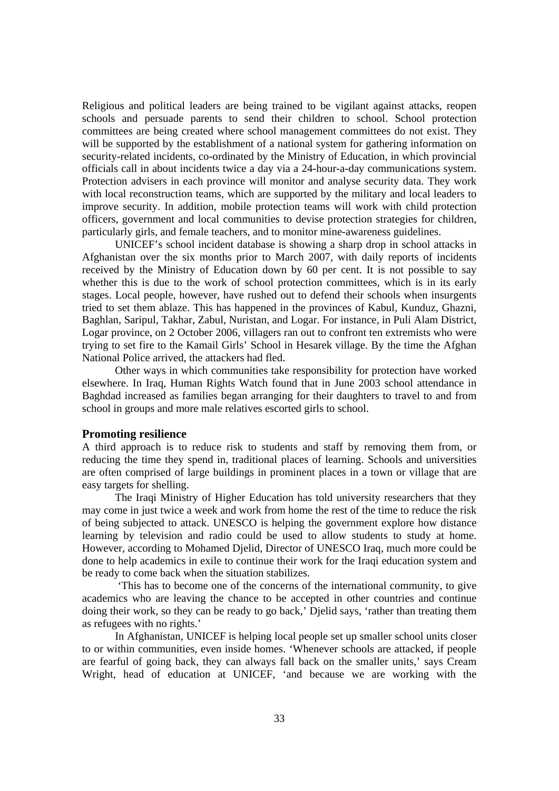Religious and political leaders are being trained to be vigilant against attacks, reopen schools and persuade parents to send their children to school. School protection committees are being created where school management committees do not exist. They will be supported by the establishment of a national system for gathering information on security-related incidents, co-ordinated by the Ministry of Education, in which provincial officials call in about incidents twice a day via a 24-hour-a-day communications system. Protection advisers in each province will monitor and analyse security data. They work with local reconstruction teams, which are supported by the military and local leaders to improve security. In addition, mobile protection teams will work with child protection officers, government and local communities to devise protection strategies for children, particularly girls, and female teachers, and to monitor mine-awareness guidelines.

UNICEF's school incident database is showing a sharp drop in school attacks in Afghanistan over the six months prior to March 2007, with daily reports of incidents received by the Ministry of Education down by 60 per cent. It is not possible to say whether this is due to the work of school protection committees, which is in its early stages. Local people, however, have rushed out to defend their schools when insurgents tried to set them ablaze. This has happened in the provinces of Kabul, Kunduz, Ghazni, Baghlan, Saripul, Takhar, Zabul, Nuristan, and Logar. For instance, in Puli Alam District, Logar province, on 2 October 2006, villagers ran out to confront ten extremists who were trying to set fire to the Kamail Girls' School in Hesarek village. By the time the Afghan National Police arrived, the attackers had fled.

Other ways in which communities take responsibility for protection have worked elsewhere. In Iraq, Human Rights Watch found that in June 2003 school attendance in Baghdad increased as families began arranging for their daughters to travel to and from school in groups and more male relatives escorted girls to school.

#### **Promoting resilience**

A third approach is to reduce risk to students and staff by removing them from, or reducing the time they spend in, traditional places of learning. Schools and universities are often comprised of large buildings in prominent places in a town or village that are easy targets for shelling.

The Iraqi Ministry of Higher Education has told university researchers that they may come in just twice a week and work from home the rest of the time to reduce the risk of being subjected to attack. UNESCO is helping the government explore how distance learning by television and radio could be used to allow students to study at home. However, according to Mohamed Djelid, Director of UNESCO Iraq, much more could be done to help academics in exile to continue their work for the Iraqi education system and be ready to come back when the situation stabilizes.

 'This has to become one of the concerns of the international community, to give academics who are leaving the chance to be accepted in other countries and continue doing their work, so they can be ready to go back,' Djelid says, 'rather than treating them as refugees with no rights.'

In Afghanistan, UNICEF is helping local people set up smaller school units closer to or within communities, even inside homes. 'Whenever schools are attacked, if people are fearful of going back, they can always fall back on the smaller units,' says Cream Wright, head of education at UNICEF, 'and because we are working with the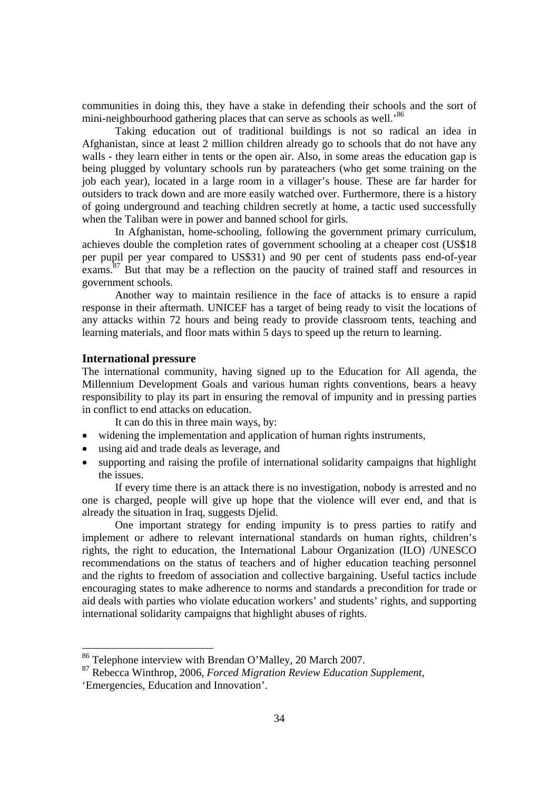communities in doing this, they have a stake in defending their schools and the sort of mini-neighbourhood gathering places that can serve as schools as well.<sup>86</sup>

Taking education out of traditional buildings is not so radical an idea in Afghanistan, since at least 2 million children already go to schools that do not have any walls - they learn either in tents or the open air. Also, in some areas the education gap is being plugged by voluntary schools run by parateachers (who get some training on the job each year), located in a large room in a villager's house. These are far harder for outsiders to track down and are more easily watched over. Furthermore, there is a history of going underground and teaching children secretly at home, a tactic used successfully when the Taliban were in power and banned school for girls.

In Afghanistan, home-schooling, following the government primary curriculum, achieves double the completion rates of government schooling at a cheaper cost (US\$18 per pupil per year compared to US\$31) and 90 per cent of students pass end-of-year exams.<sup>87</sup> But that may be a reflection on the paucity of trained staff and resources in government schools.

Another way to maintain resilience in the face of attacks is to ensure a rapid response in their aftermath. UNICEF has a target of being ready to visit the locations of any attacks within 72 hours and being ready to provide classroom tents, teaching and learning materials, and floor mats within 5 days to speed up the return to learning.

#### **International pressure**

The international community, having signed up to the Education for All agenda, the Millennium Development Goals and various human rights conventions, bears a heavy responsibility to play its part in ensuring the removal of impunity and in pressing parties in conflict to end attacks on education.

It can do this in three main ways, by:

- widening the implementation and application of human rights instruments,
- using aid and trade deals as leverage, and
- supporting and raising the profile of international solidarity campaigns that highlight the issues.

If every time there is an attack there is no investigation, nobody is arrested and no one is charged, people will give up hope that the violence will ever end, and that is already the situation in Iraq, suggests Djelid.

One important strategy for ending impunity is to press parties to ratify and implement or adhere to relevant international standards on human rights, children's rights, the right to education, the International Labour Organization (ILO) /UNESCO recommendations on the status of teachers and of higher education teaching personnel and the rights to freedom of association and collective bargaining. Useful tactics include encouraging states to make adherence to norms and standards a precondition for trade or aid deals with parties who violate education workers' and students' rights, and supporting international solidarity campaigns that highlight abuses of rights.

<sup>86</sup> Telephone interview with Brendan O'Malley, 20 March 2007.

<sup>87</sup> Rebecca Winthrop, 2006, *Forced Migration Review Education Supplement,*  'Emergencies, Education and Innovation'.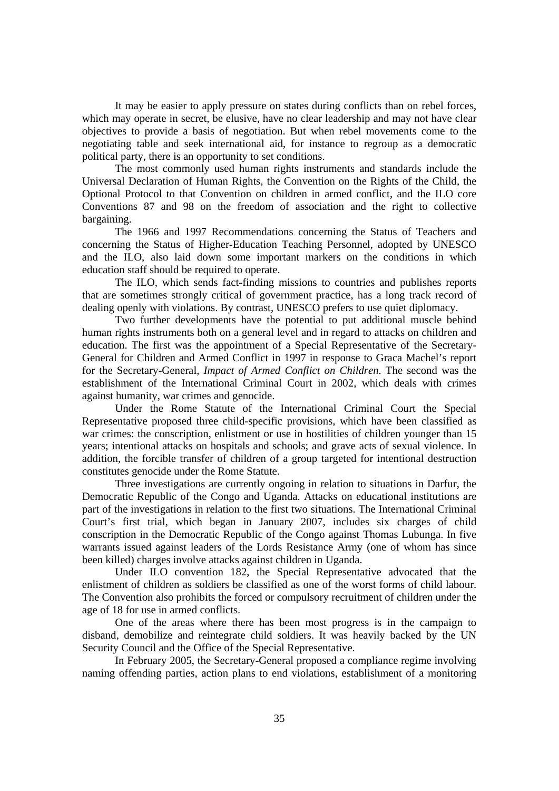It may be easier to apply pressure on states during conflicts than on rebel forces, which may operate in secret, be elusive, have no clear leadership and may not have clear objectives to provide a basis of negotiation. But when rebel movements come to the negotiating table and seek international aid, for instance to regroup as a democratic political party, there is an opportunity to set conditions.

The most commonly used human rights instruments and standards include the Universal Declaration of Human Rights, the Convention on the Rights of the Child, the Optional Protocol to that Convention on children in armed conflict, and the ILO core Conventions 87 and 98 on the freedom of association and the right to collective bargaining.

The 1966 and 1997 Recommendations concerning the Status of Teachers and concerning the Status of Higher-Education Teaching Personnel, adopted by UNESCO and the ILO, also laid down some important markers on the conditions in which education staff should be required to operate.

The ILO, which sends fact-finding missions to countries and publishes reports that are sometimes strongly critical of government practice, has a long track record of dealing openly with violations. By contrast, UNESCO prefers to use quiet diplomacy.

Two further developments have the potential to put additional muscle behind human rights instruments both on a general level and in regard to attacks on children and education. The first was the appointment of a Special Representative of the Secretary-General for Children and Armed Conflict in 1997 in response to Graca Machel's report for the Secretary-General, *Impact of Armed Conflict on Children*. The second was the establishment of the International Criminal Court in 2002, which deals with crimes against humanity, war crimes and genocide.

Under the Rome Statute of the International Criminal Court the Special Representative proposed three child-specific provisions, which have been classified as war crimes: the conscription, enlistment or use in hostilities of children younger than 15 years; intentional attacks on hospitals and schools; and grave acts of sexual violence. In addition, the forcible transfer of children of a group targeted for intentional destruction constitutes genocide under the Rome Statute.

Three investigations are currently ongoing in relation to situations in Darfur, the Democratic Republic of the Congo and Uganda. Attacks on educational institutions are part of the investigations in relation to the first two situations. The International Criminal Court's first trial, which began in January 2007, includes six charges of child conscription in the Democratic Republic of the Congo against Thomas Lubunga. In five warrants issued against leaders of the Lords Resistance Army (one of whom has since been killed) charges involve attacks against children in Uganda.

Under ILO convention 182, the Special Representative advocated that the enlistment of children as soldiers be classified as one of the worst forms of child labour. The Convention also prohibits the forced or compulsory recruitment of children under the age of 18 for use in armed conflicts.

One of the areas where there has been most progress is in the campaign to disband, demobilize and reintegrate child soldiers. It was heavily backed by the UN Security Council and the Office of the Special Representative.

In February 2005, the Secretary-General proposed a compliance regime involving naming offending parties, action plans to end violations, establishment of a monitoring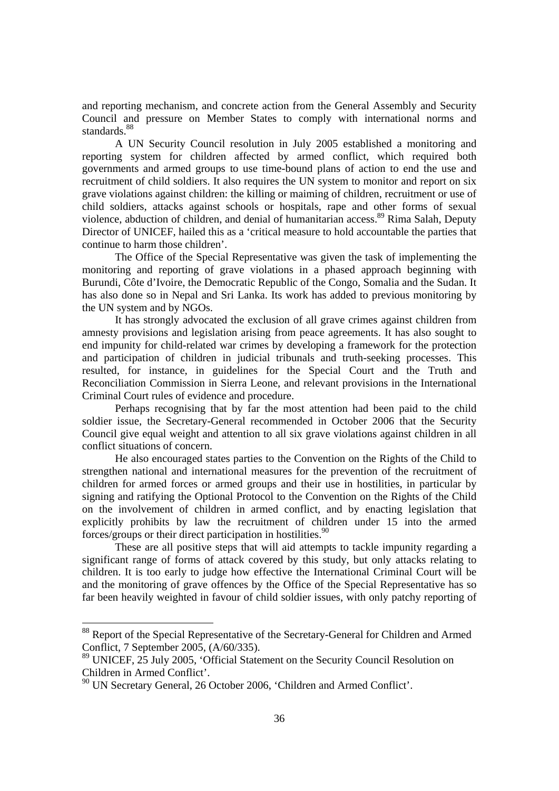and reporting mechanism, and concrete action from the General Assembly and Security Council and pressure on Member States to comply with international norms and standards.<sup>88</sup>

A UN Security Council resolution in July 2005 established a monitoring and reporting system for children affected by armed conflict, which required both governments and armed groups to use time-bound plans of action to end the use and recruitment of child soldiers. It also requires the UN system to monitor and report on six grave violations against children: the killing or maiming of children, recruitment or use of child soldiers, attacks against schools or hospitals, rape and other forms of sexual violence, abduction of children, and denial of humanitarian access.<sup>89</sup> Rima Salah, Deputy Director of UNICEF, hailed this as a 'critical measure to hold accountable the parties that continue to harm those children'.

The Office of the Special Representative was given the task of implementing the monitoring and reporting of grave violations in a phased approach beginning with Burundi, Côte d'Ivoire, the Democratic Republic of the Congo, Somalia and the Sudan. It has also done so in Nepal and Sri Lanka. Its work has added to previous monitoring by the UN system and by NGOs.

It has strongly advocated the exclusion of all grave crimes against children from amnesty provisions and legislation arising from peace agreements. It has also sought to end impunity for child-related war crimes by developing a framework for the protection and participation of children in judicial tribunals and truth-seeking processes. This resulted, for instance, in guidelines for the Special Court and the Truth and Reconciliation Commission in Sierra Leone, and relevant provisions in the International Criminal Court rules of evidence and procedure.

Perhaps recognising that by far the most attention had been paid to the child soldier issue, the Secretary-General recommended in October 2006 that the Security Council give equal weight and attention to all six grave violations against children in all conflict situations of concern.

He also encouraged states parties to the Convention on the Rights of the Child to strengthen national and international measures for the prevention of the recruitment of children for armed forces or armed groups and their use in hostilities, in particular by signing and ratifying the Optional Protocol to the Convention on the Rights of the Child on the involvement of children in armed conflict, and by enacting legislation that explicitly prohibits by law the recruitment of children under 15 into the armed forces/groups or their direct participation in hostilities.  $90$ 

These are all positive steps that will aid attempts to tackle impunity regarding a significant range of forms of attack covered by this study, but only attacks relating to children. It is too early to judge how effective the International Criminal Court will be and the monitoring of grave offences by the Office of the Special Representative has so far been heavily weighted in favour of child soldier issues, with only patchy reporting of

<sup>&</sup>lt;sup>88</sup> Report of the Special Representative of the Secretary-General for Children and Armed Conflict, 7 September 2005, (A/60/335).

<sup>89</sup> UNICEF, 25 July 2005, 'Official Statement on the Security Council Resolution on Children in Armed Conflict'.

<sup>&</sup>lt;sup>90</sup> UN Secretary General, 26 October 2006, 'Children and Armed Conflict'.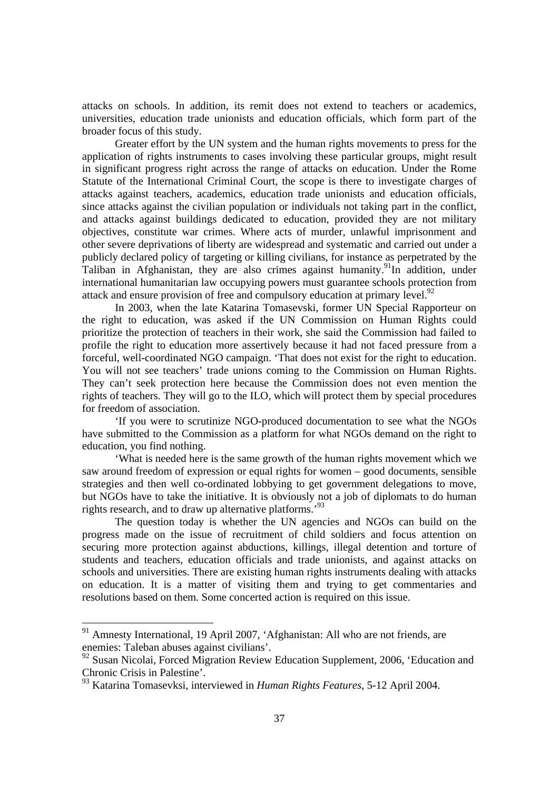attacks on schools. In addition, its remit does not extend to teachers or academics, universities, education trade unionists and education officials, which form part of the broader focus of this study.

Greater effort by the UN system and the human rights movements to press for the application of rights instruments to cases involving these particular groups, might result in significant progress right across the range of attacks on education. Under the Rome Statute of the International Criminal Court, the scope is there to investigate charges of attacks against teachers, academics, education trade unionists and education officials, since attacks against the civilian population or individuals not taking part in the conflict, and attacks against buildings dedicated to education, provided they are not military objectives, constitute war crimes. Where acts of murder, unlawful imprisonment and other severe deprivations of liberty are widespread and systematic and carried out under a publicly declared policy of targeting or killing civilians, for instance as perpetrated by the Taliban in Afghanistan, they are also crimes against humanity.<sup>91</sup>In addition, under international humanitarian law occupying powers must guarantee schools protection from attack and ensure provision of free and compulsory education at primary level.<sup>92</sup>

In 2003, when the late Katarina Tomasevski, former UN Special Rapporteur on the right to education, was asked if the UN Commission on Human Rights could prioritize the protection of teachers in their work, she said the Commission had failed to profile the right to education more assertively because it had not faced pressure from a forceful, well-coordinated NGO campaign. 'That does not exist for the right to education. You will not see teachers' trade unions coming to the Commission on Human Rights. They can't seek protection here because the Commission does not even mention the rights of teachers. They will go to the ILO, which will protect them by special procedures for freedom of association.

 'If you were to scrutinize NGO-produced documentation to see what the NGOs have submitted to the Commission as a platform for what NGOs demand on the right to education, you find nothing.

'What is needed here is the same growth of the human rights movement which we saw around freedom of expression or equal rights for women – good documents, sensible strategies and then well co-ordinated lobbying to get government delegations to move, but NGOs have to take the initiative. It is obviously not a job of diplomats to do human rights research, and to draw up alternative platforms.'<sup>93</sup>

The question today is whether the UN agencies and NGOs can build on the progress made on the issue of recruitment of child soldiers and focus attention on securing more protection against abductions, killings, illegal detention and torture of students and teachers, education officials and trade unionists, and against attacks on schools and universities. There are existing human rights instruments dealing with attacks on education. It is a matter of visiting them and trying to get commentaries and resolutions based on them. Some concerted action is required on this issue.

 $91$  Amnesty International, 19 April 2007, 'Afghanistan: All who are not friends, are enemies: Taleban abuses against civilians'.

<sup>&</sup>lt;sup>92</sup> Susan Nicolai, Forced Migration Review Education Supplement, 2006, 'Education and Chronic Crisis in Palestine'.

<sup>93</sup> Katarina Tomasevksi, interviewed in *Human Rights Features*, 5-12 April 2004.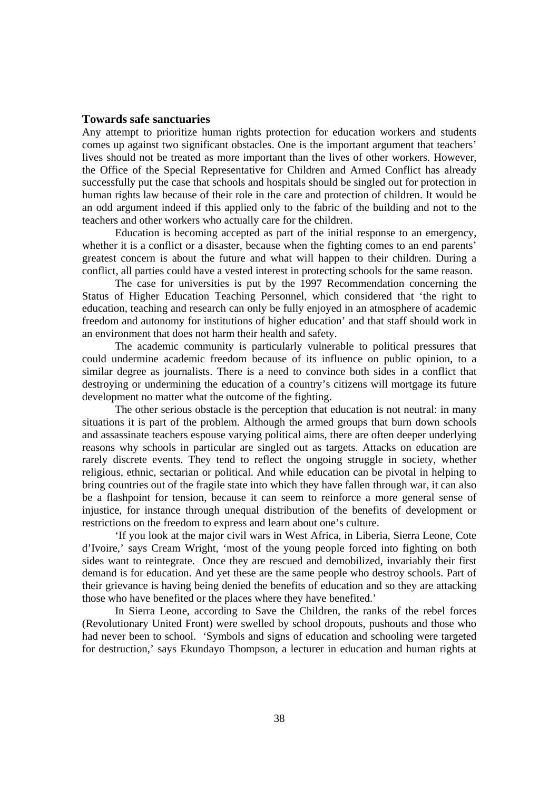#### **Towards safe sanctuaries**

Any attempt to prioritize human rights protection for education workers and students comes up against two significant obstacles. One is the important argument that teachers' lives should not be treated as more important than the lives of other workers. However, the Office of the Special Representative for Children and Armed Conflict has already successfully put the case that schools and hospitals should be singled out for protection in human rights law because of their role in the care and protection of children. It would be an odd argument indeed if this applied only to the fabric of the building and not to the teachers and other workers who actually care for the children.

Education is becoming accepted as part of the initial response to an emergency, whether it is a conflict or a disaster, because when the fighting comes to an end parents' greatest concern is about the future and what will happen to their children. During a conflict, all parties could have a vested interest in protecting schools for the same reason.

The case for universities is put by the 1997 Recommendation concerning the Status of Higher Education Teaching Personnel, which considered that 'the right to education, teaching and research can only be fully enjoyed in an atmosphere of academic freedom and autonomy for institutions of higher education' and that staff should work in an environment that does not harm their health and safety.

The academic community is particularly vulnerable to political pressures that could undermine academic freedom because of its influence on public opinion, to a similar degree as journalists. There is a need to convince both sides in a conflict that destroying or undermining the education of a country's citizens will mortgage its future development no matter what the outcome of the fighting.

The other serious obstacle is the perception that education is not neutral: in many situations it is part of the problem. Although the armed groups that burn down schools and assassinate teachers espouse varying political aims, there are often deeper underlying reasons why schools in particular are singled out as targets. Attacks on education are rarely discrete events. They tend to reflect the ongoing struggle in society, whether religious, ethnic, sectarian or political. And while education can be pivotal in helping to bring countries out of the fragile state into which they have fallen through war, it can also be a flashpoint for tension, because it can seem to reinforce a more general sense of injustice, for instance through unequal distribution of the benefits of development or restrictions on the freedom to express and learn about one's culture.

'If you look at the major civil wars in West Africa, in Liberia, Sierra Leone, Cote d'Ivoire,' says Cream Wright, 'most of the young people forced into fighting on both sides want to reintegrate. Once they are rescued and demobilized, invariably their first demand is for education. And yet these are the same people who destroy schools. Part of their grievance is having being denied the benefits of education and so they are attacking those who have benefited or the places where they have benefited.'

In Sierra Leone, according to Save the Children, the ranks of the rebel forces (Revolutionary United Front) were swelled by school dropouts, pushouts and those who had never been to school. 'Symbols and signs of education and schooling were targeted for destruction,' says Ekundayo Thompson, a lecturer in education and human rights at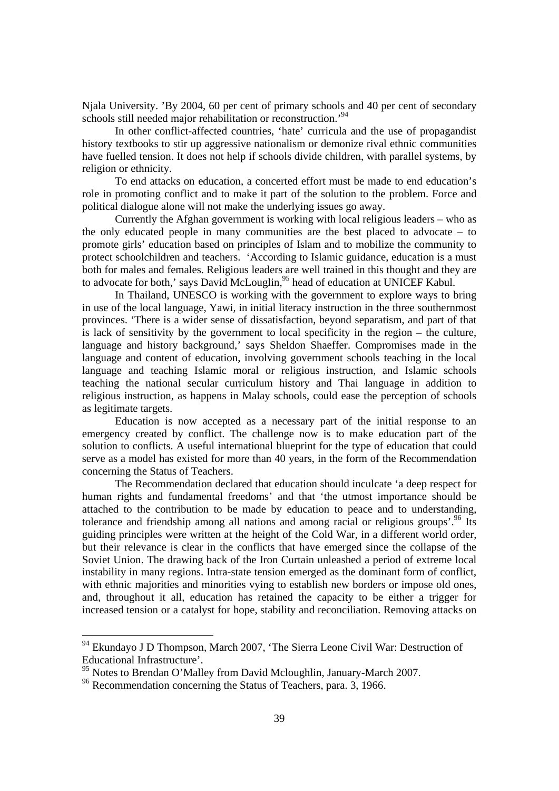Njala University. 'By 2004, 60 per cent of primary schools and 40 per cent of secondary schools still needed major rehabilitation or reconstruction.<sup>94</sup>

In other conflict-affected countries, 'hate' curricula and the use of propagandist history textbooks to stir up aggressive nationalism or demonize rival ethnic communities have fuelled tension. It does not help if schools divide children, with parallel systems, by religion or ethnicity.

To end attacks on education, a concerted effort must be made to end education's role in promoting conflict and to make it part of the solution to the problem. Force and political dialogue alone will not make the underlying issues go away.

Currently the Afghan government is working with local religious leaders – who as the only educated people in many communities are the best placed to advocate – to promote girls' education based on principles of Islam and to mobilize the community to protect schoolchildren and teachers. 'According to Islamic guidance, education is a must both for males and females. Religious leaders are well trained in this thought and they are to advocate for both,' says David McLouglin,<sup>95</sup> head of education at UNICEF Kabul.

In Thailand, UNESCO is working with the government to explore ways to bring in use of the local language, Yawi, in initial literacy instruction in the three southernmost provinces. 'There is a wider sense of dissatisfaction, beyond separatism, and part of that is lack of sensitivity by the government to local specificity in the region – the culture, language and history background,' says Sheldon Shaeffer. Compromises made in the language and content of education, involving government schools teaching in the local language and teaching Islamic moral or religious instruction, and Islamic schools teaching the national secular curriculum history and Thai language in addition to religious instruction, as happens in Malay schools, could ease the perception of schools as legitimate targets.

Education is now accepted as a necessary part of the initial response to an emergency created by conflict. The challenge now is to make education part of the solution to conflicts. A useful international blueprint for the type of education that could serve as a model has existed for more than 40 years, in the form of the Recommendation concerning the Status of Teachers.

The Recommendation declared that education should inculcate 'a deep respect for human rights and fundamental freedoms' and that 'the utmost importance should be attached to the contribution to be made by education to peace and to understanding, tolerance and friendship among all nations and among racial or religious groups'.<sup>96</sup> Its guiding principles were written at the height of the Cold War, in a different world order, but their relevance is clear in the conflicts that have emerged since the collapse of the Soviet Union. The drawing back of the Iron Curtain unleashed a period of extreme local instability in many regions. Intra-state tension emerged as the dominant form of conflict, with ethnic majorities and minorities vying to establish new borders or impose old ones. and, throughout it all, education has retained the capacity to be either a trigger for increased tension or a catalyst for hope, stability and reconciliation. Removing attacks on

<sup>94</sup> Ekundayo J D Thompson, March 2007, 'The Sierra Leone Civil War: Destruction of Educational Infrastructure'.

<sup>95</sup> Notes to Brendan O'Malley from David Mcloughlin, January-March 2007.

<sup>&</sup>lt;sup>96</sup> Recommendation concerning the Status of Teachers, para. 3, 1966.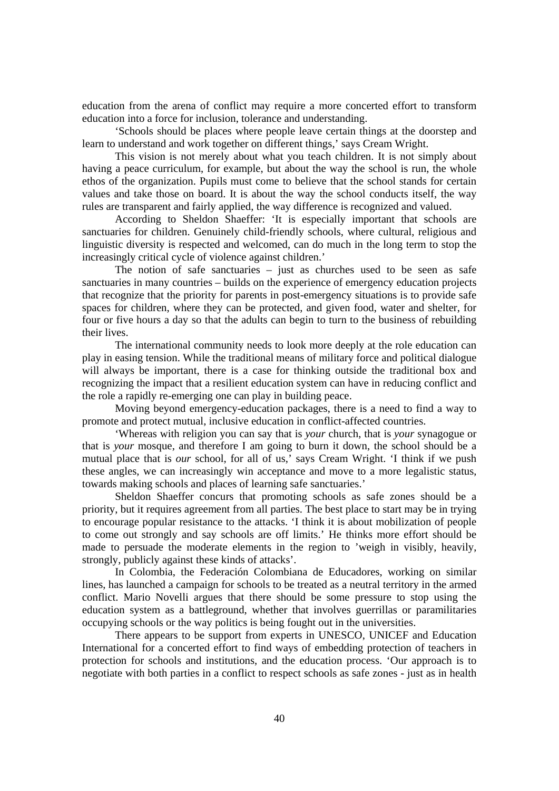education from the arena of conflict may require a more concerted effort to transform education into a force for inclusion, tolerance and understanding.

'Schools should be places where people leave certain things at the doorstep and learn to understand and work together on different things,' says Cream Wright.

This vision is not merely about what you teach children. It is not simply about having a peace curriculum, for example, but about the way the school is run, the whole ethos of the organization. Pupils must come to believe that the school stands for certain values and take those on board. It is about the way the school conducts itself, the way rules are transparent and fairly applied, the way difference is recognized and valued.

According to Sheldon Shaeffer: 'It is especially important that schools are sanctuaries for children. Genuinely child-friendly schools, where cultural, religious and linguistic diversity is respected and welcomed, can do much in the long term to stop the increasingly critical cycle of violence against children.'

The notion of safe sanctuaries – just as churches used to be seen as safe sanctuaries in many countries – builds on the experience of emergency education projects that recognize that the priority for parents in post-emergency situations is to provide safe spaces for children, where they can be protected, and given food, water and shelter, for four or five hours a day so that the adults can begin to turn to the business of rebuilding their lives.

The international community needs to look more deeply at the role education can play in easing tension. While the traditional means of military force and political dialogue will always be important, there is a case for thinking outside the traditional box and recognizing the impact that a resilient education system can have in reducing conflict and the role a rapidly re-emerging one can play in building peace.

Moving beyond emergency-education packages, there is a need to find a way to promote and protect mutual, inclusive education in conflict-affected countries.

'Whereas with religion you can say that is *your* church, that is *your* synagogue or that is *your* mosque, and therefore I am going to burn it down, the school should be a mutual place that is *our* school, for all of us,' says Cream Wright. 'I think if we push these angles, we can increasingly win acceptance and move to a more legalistic status, towards making schools and places of learning safe sanctuaries.'

Sheldon Shaeffer concurs that promoting schools as safe zones should be a priority, but it requires agreement from all parties. The best place to start may be in trying to encourage popular resistance to the attacks. 'I think it is about mobilization of people to come out strongly and say schools are off limits.' He thinks more effort should be made to persuade the moderate elements in the region to 'weigh in visibly, heavily, strongly, publicly against these kinds of attacks'.

In Colombia, the Federación Colombiana de Educadores, working on similar lines, has launched a campaign for schools to be treated as a neutral territory in the armed conflict. Mario Novelli argues that there should be some pressure to stop using the education system as a battleground, whether that involves guerrillas or paramilitaries occupying schools or the way politics is being fought out in the universities.

There appears to be support from experts in UNESCO, UNICEF and Education International for a concerted effort to find ways of embedding protection of teachers in protection for schools and institutions, and the education process. 'Our approach is to negotiate with both parties in a conflict to respect schools as safe zones - just as in health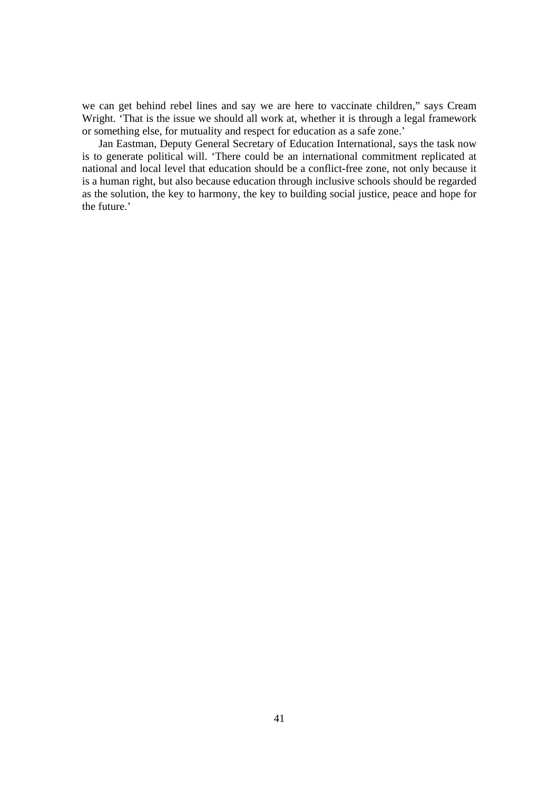we can get behind rebel lines and say we are here to vaccinate children," says Cream Wright. 'That is the issue we should all work at, whether it is through a legal framework or something else, for mutuality and respect for education as a safe zone.'

Jan Eastman, Deputy General Secretary of Education International, says the task now is to generate political will. 'There could be an international commitment replicated at national and local level that education should be a conflict-free zone, not only because it is a human right, but also because education through inclusive schools should be regarded as the solution, the key to harmony, the key to building social justice, peace and hope for the future.'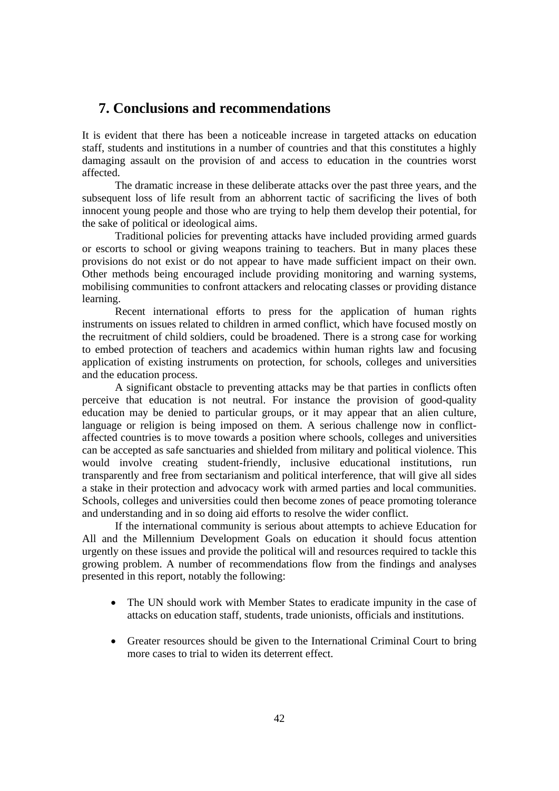# **7. Conclusions and recommendations**

It is evident that there has been a noticeable increase in targeted attacks on education staff, students and institutions in a number of countries and that this constitutes a highly damaging assault on the provision of and access to education in the countries worst affected.

 The dramatic increase in these deliberate attacks over the past three years, and the subsequent loss of life result from an abhorrent tactic of sacrificing the lives of both innocent young people and those who are trying to help them develop their potential, for the sake of political or ideological aims.

Traditional policies for preventing attacks have included providing armed guards or escorts to school or giving weapons training to teachers. But in many places these provisions do not exist or do not appear to have made sufficient impact on their own. Other methods being encouraged include providing monitoring and warning systems, mobilising communities to confront attackers and relocating classes or providing distance learning.

Recent international efforts to press for the application of human rights instruments on issues related to children in armed conflict, which have focused mostly on the recruitment of child soldiers, could be broadened. There is a strong case for working to embed protection of teachers and academics within human rights law and focusing application of existing instruments on protection, for schools, colleges and universities and the education process.

A significant obstacle to preventing attacks may be that parties in conflicts often perceive that education is not neutral. For instance the provision of good-quality education may be denied to particular groups, or it may appear that an alien culture, language or religion is being imposed on them. A serious challenge now in conflictaffected countries is to move towards a position where schools, colleges and universities can be accepted as safe sanctuaries and shielded from military and political violence. This would involve creating student-friendly, inclusive educational institutions, run transparently and free from sectarianism and political interference, that will give all sides a stake in their protection and advocacy work with armed parties and local communities. Schools, colleges and universities could then become zones of peace promoting tolerance and understanding and in so doing aid efforts to resolve the wider conflict.

If the international community is serious about attempts to achieve Education for All and the Millennium Development Goals on education it should focus attention urgently on these issues and provide the political will and resources required to tackle this growing problem. A number of recommendations flow from the findings and analyses presented in this report, notably the following:

- The UN should work with Member States to eradicate impunity in the case of attacks on education staff, students, trade unionists, officials and institutions.
- Greater resources should be given to the International Criminal Court to bring more cases to trial to widen its deterrent effect.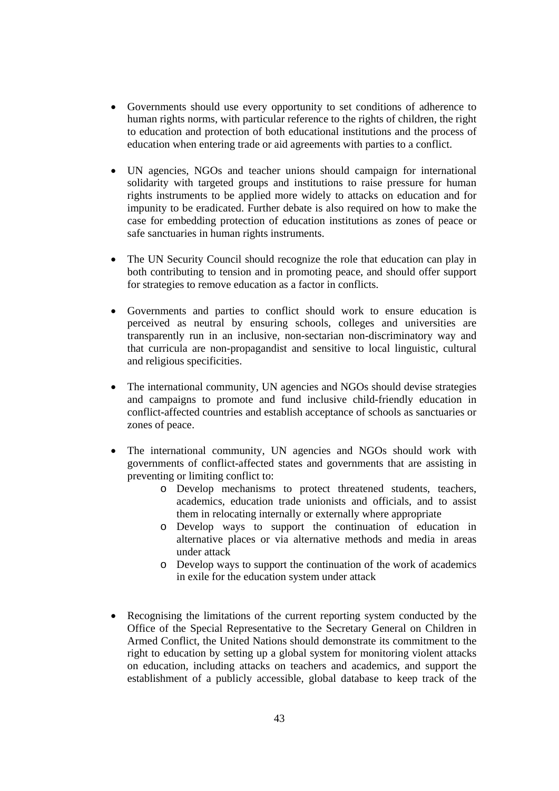- Governments should use every opportunity to set conditions of adherence to human rights norms, with particular reference to the rights of children, the right to education and protection of both educational institutions and the process of education when entering trade or aid agreements with parties to a conflict.
- UN agencies, NGOs and teacher unions should campaign for international solidarity with targeted groups and institutions to raise pressure for human rights instruments to be applied more widely to attacks on education and for impunity to be eradicated. Further debate is also required on how to make the case for embedding protection of education institutions as zones of peace or safe sanctuaries in human rights instruments.
- The UN Security Council should recognize the role that education can play in both contributing to tension and in promoting peace, and should offer support for strategies to remove education as a factor in conflicts.
- Governments and parties to conflict should work to ensure education is perceived as neutral by ensuring schools, colleges and universities are transparently run in an inclusive, non-sectarian non-discriminatory way and that curricula are non-propagandist and sensitive to local linguistic, cultural and religious specificities.
- The international community, UN agencies and NGOs should devise strategies and campaigns to promote and fund inclusive child-friendly education in conflict-affected countries and establish acceptance of schools as sanctuaries or zones of peace.
- The international community, UN agencies and NGOs should work with governments of conflict-affected states and governments that are assisting in preventing or limiting conflict to:
	- o Develop mechanisms to protect threatened students, teachers, academics, education trade unionists and officials, and to assist them in relocating internally or externally where appropriate
	- o Develop ways to support the continuation of education in alternative places or via alternative methods and media in areas under attack
	- o Develop ways to support the continuation of the work of academics in exile for the education system under attack
- Recognising the limitations of the current reporting system conducted by the Office of the Special Representative to the Secretary General on Children in Armed Conflict, the United Nations should demonstrate its commitment to the right to education by setting up a global system for monitoring violent attacks on education, including attacks on teachers and academics, and support the establishment of a publicly accessible, global database to keep track of the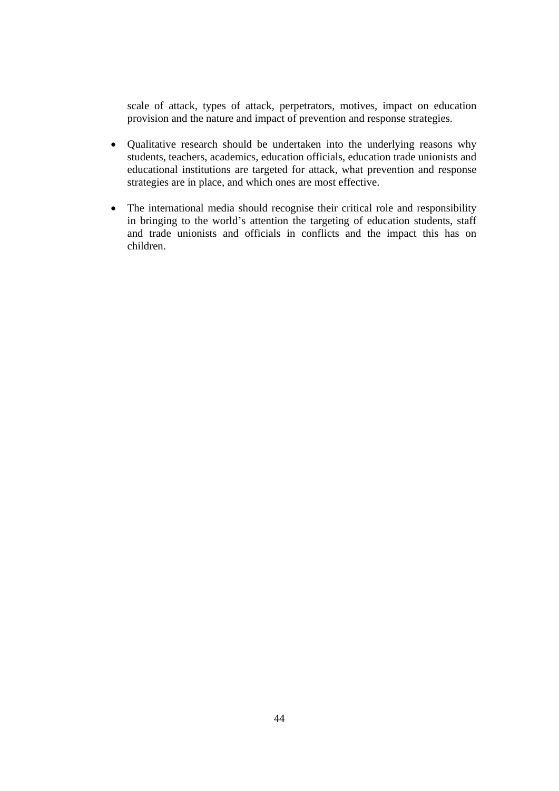scale of attack, types of attack, perpetrators, motives, impact on education provision and the nature and impact of prevention and response strategies.

- Qualitative research should be undertaken into the underlying reasons why students, teachers, academics, education officials, education trade unionists and educational institutions are targeted for attack, what prevention and response strategies are in place, and which ones are most effective.
- The international media should recognise their critical role and responsibility in bringing to the world's attention the targeting of education students, staff and trade unionists and officials in conflicts and the impact this has on children.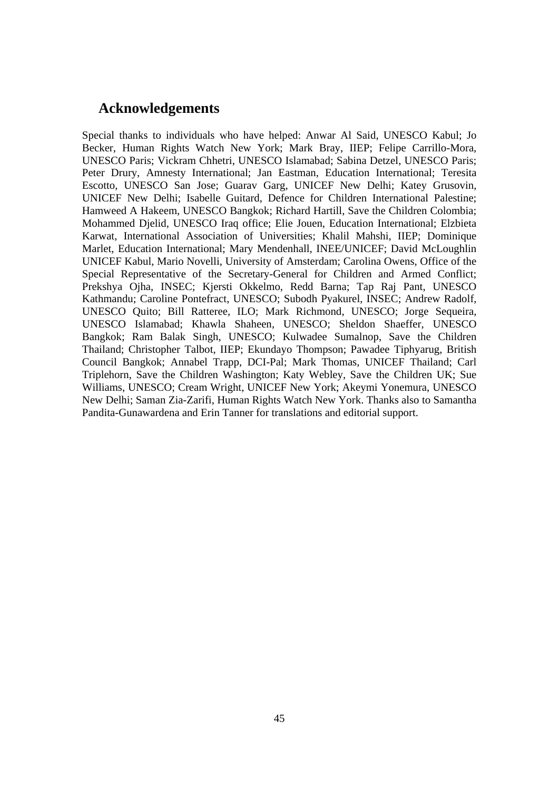# **Acknowledgements**

Special thanks to individuals who have helped: Anwar Al Said, UNESCO Kabul; Jo Becker, Human Rights Watch New York; Mark Bray, IIEP; Felipe Carrillo-Mora, UNESCO Paris; Vickram Chhetri, UNESCO Islamabad; Sabina Detzel, UNESCO Paris; Peter Drury, Amnesty International; Jan Eastman, Education International; Teresita Escotto, UNESCO San Jose; Guarav Garg, UNICEF New Delhi; Katey Grusovin, UNICEF New Delhi; Isabelle Guitard, Defence for Children International Palestine; Hamweed A Hakeem, UNESCO Bangkok; Richard Hartill, Save the Children Colombia; Mohammed Djelid, UNESCO Iraq office; Elie Jouen, Education International; Elzbieta Karwat, International Association of Universities; Khalil Mahshi, IIEP; Dominique Marlet, Education International; Mary Mendenhall, INEE/UNICEF; David McLoughlin UNICEF Kabul, Mario Novelli, University of Amsterdam; Carolina Owens, Office of the Special Representative of the Secretary-General for Children and Armed Conflict; Prekshya Ojha, INSEC; Kjersti Okkelmo, Redd Barna; Tap Raj Pant, UNESCO Kathmandu; Caroline Pontefract, UNESCO; Subodh Pyakurel, INSEC; Andrew Radolf, UNESCO Quito; Bill Ratteree, ILO; Mark Richmond, UNESCO; Jorge Sequeira, UNESCO Islamabad; Khawla Shaheen, UNESCO; Sheldon Shaeffer, UNESCO Bangkok; Ram Balak Singh, UNESCO; Kulwadee Sumalnop, Save the Children Thailand; Christopher Talbot, IIEP; Ekundayo Thompson; Pawadee Tiphyarug, British Council Bangkok; Annabel Trapp, DCI-Pal; Mark Thomas, UNICEF Thailand; Carl Triplehorn, Save the Children Washington; Katy Webley, Save the Children UK; Sue Williams, UNESCO; Cream Wright, UNICEF New York; Akeymi Yonemura, UNESCO New Delhi; Saman Zia-Zarifi, Human Rights Watch New York. Thanks also to Samantha Pandita-Gunawardena and Erin Tanner for translations and editorial support.